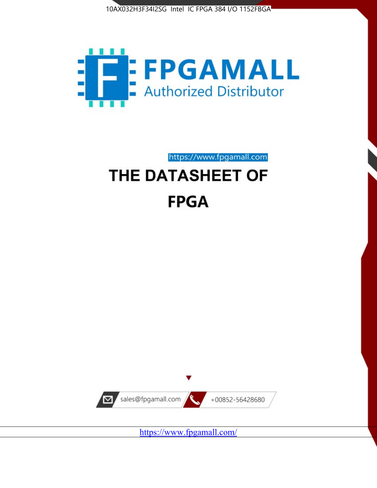



https://www.fpgamall.com THE DATASHEET OF

# **FPGA**



<https://www.fpgamall.com/>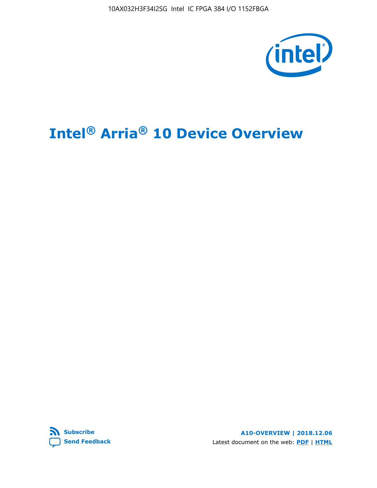

# **Intel® Arria® 10 Device Overview**



**A10-OVERVIEW | 2018.12.06** Latest document on the web: **[PDF](https://www.intel.com/content/dam/www/programmable/us/en/pdfs/literature/hb/arria-10/a10_overview.pdf)** | **[HTML](https://www.intel.com/content/www/us/en/programmable/documentation/sam1403480274650.html)**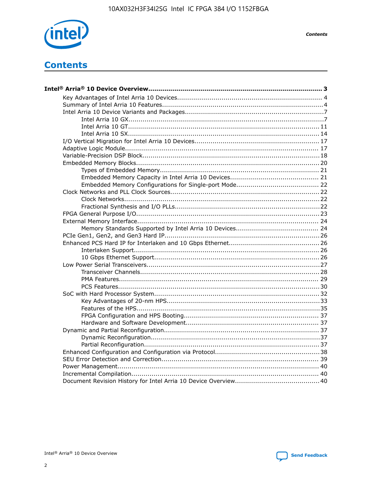

**Contents** 

# **Contents**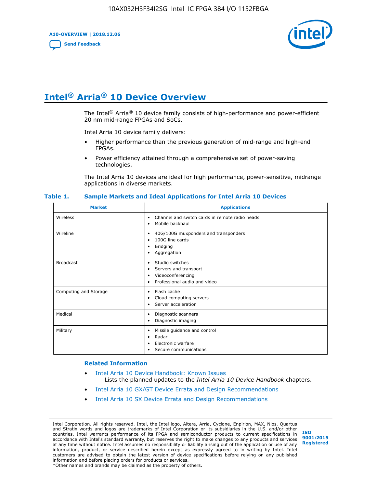**A10-OVERVIEW | 2018.12.06**

**[Send Feedback](mailto:FPGAtechdocfeedback@intel.com?subject=Feedback%20on%20Intel%20Arria%2010%20Device%20Overview%20(A10-OVERVIEW%202018.12.06)&body=We%20appreciate%20your%20feedback.%20In%20your%20comments,%20also%20specify%20the%20page%20number%20or%20paragraph.%20Thank%20you.)**



# **Intel® Arria® 10 Device Overview**

The Intel<sup>®</sup> Arria<sup>®</sup> 10 device family consists of high-performance and power-efficient 20 nm mid-range FPGAs and SoCs.

Intel Arria 10 device family delivers:

- Higher performance than the previous generation of mid-range and high-end FPGAs.
- Power efficiency attained through a comprehensive set of power-saving technologies.

The Intel Arria 10 devices are ideal for high performance, power-sensitive, midrange applications in diverse markets.

| <b>Market</b>         | <b>Applications</b>                                                                                               |
|-----------------------|-------------------------------------------------------------------------------------------------------------------|
| Wireless              | Channel and switch cards in remote radio heads<br>٠<br>Mobile backhaul<br>٠                                       |
| Wireline              | 40G/100G muxponders and transponders<br>٠<br>100G line cards<br>٠<br>Bridging<br>٠<br>Aggregation<br>٠            |
| <b>Broadcast</b>      | Studio switches<br>٠<br>Servers and transport<br>٠<br>Videoconferencing<br>٠<br>Professional audio and video<br>٠ |
| Computing and Storage | Flash cache<br>٠<br>Cloud computing servers<br>٠<br>Server acceleration<br>$\bullet$                              |
| Medical               | Diagnostic scanners<br>٠<br>Diagnostic imaging<br>٠                                                               |
| Military              | Missile guidance and control<br>٠<br>Radar<br>٠<br>Electronic warfare<br>٠<br>Secure communications<br>٠          |

#### **Table 1. Sample Markets and Ideal Applications for Intel Arria 10 Devices**

#### **Related Information**

- [Intel Arria 10 Device Handbook: Known Issues](http://www.altera.com/support/kdb/solutions/rd07302013_646.html) Lists the planned updates to the *Intel Arria 10 Device Handbook* chapters.
- [Intel Arria 10 GX/GT Device Errata and Design Recommendations](https://www.intel.com/content/www/us/en/programmable/documentation/agz1493851706374.html#yqz1494433888646)
- [Intel Arria 10 SX Device Errata and Design Recommendations](https://www.intel.com/content/www/us/en/programmable/documentation/cru1462832385668.html#cru1462832558642)

Intel Corporation. All rights reserved. Intel, the Intel logo, Altera, Arria, Cyclone, Enpirion, MAX, Nios, Quartus and Stratix words and logos are trademarks of Intel Corporation or its subsidiaries in the U.S. and/or other countries. Intel warrants performance of its FPGA and semiconductor products to current specifications in accordance with Intel's standard warranty, but reserves the right to make changes to any products and services at any time without notice. Intel assumes no responsibility or liability arising out of the application or use of any information, product, or service described herein except as expressly agreed to in writing by Intel. Intel customers are advised to obtain the latest version of device specifications before relying on any published information and before placing orders for products or services. \*Other names and brands may be claimed as the property of others.

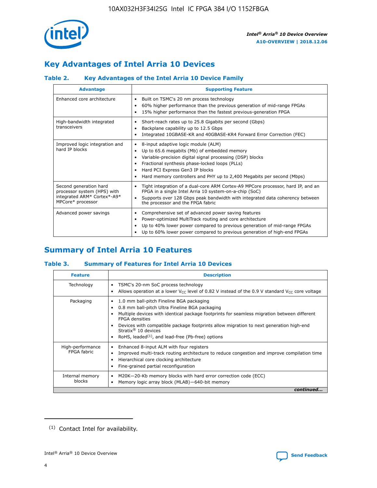

# **Key Advantages of Intel Arria 10 Devices**

#### **Table 2. Key Advantages of the Intel Arria 10 Device Family**

| <b>Advantage</b>                                                                                          | <b>Supporting Feature</b>                                                                                                                                                                                                                                                                                                |
|-----------------------------------------------------------------------------------------------------------|--------------------------------------------------------------------------------------------------------------------------------------------------------------------------------------------------------------------------------------------------------------------------------------------------------------------------|
| Enhanced core architecture                                                                                | Built on TSMC's 20 nm process technology<br>٠<br>60% higher performance than the previous generation of mid-range FPGAs<br>٠<br>15% higher performance than the fastest previous-generation FPGA<br>٠                                                                                                                    |
| High-bandwidth integrated<br>transceivers                                                                 | Short-reach rates up to 25.8 Gigabits per second (Gbps)<br>٠<br>Backplane capability up to 12.5 Gbps<br>٠<br>Integrated 10GBASE-KR and 40GBASE-KR4 Forward Error Correction (FEC)<br>٠                                                                                                                                   |
| Improved logic integration and<br>hard IP blocks                                                          | 8-input adaptive logic module (ALM)<br>٠<br>Up to 65.6 megabits (Mb) of embedded memory<br>٠<br>Variable-precision digital signal processing (DSP) blocks<br>Fractional synthesis phase-locked loops (PLLs)<br>Hard PCI Express Gen3 IP blocks<br>Hard memory controllers and PHY up to 2,400 Megabits per second (Mbps) |
| Second generation hard<br>processor system (HPS) with<br>integrated ARM* Cortex*-A9*<br>MPCore* processor | Tight integration of a dual-core ARM Cortex-A9 MPCore processor, hard IP, and an<br>٠<br>FPGA in a single Intel Arria 10 system-on-a-chip (SoC)<br>Supports over 128 Gbps peak bandwidth with integrated data coherency between<br>$\bullet$<br>the processor and the FPGA fabric                                        |
| Advanced power savings                                                                                    | Comprehensive set of advanced power saving features<br>٠<br>Power-optimized MultiTrack routing and core architecture<br>٠<br>Up to 40% lower power compared to previous generation of mid-range FPGAs<br>٠<br>Up to 60% lower power compared to previous generation of high-end FPGAs                                    |

# **Summary of Intel Arria 10 Features**

#### **Table 3. Summary of Features for Intel Arria 10 Devices**

| <b>Feature</b>                  | <b>Description</b>                                                                                                                                                                                                                                                                                                                                                                                 |
|---------------------------------|----------------------------------------------------------------------------------------------------------------------------------------------------------------------------------------------------------------------------------------------------------------------------------------------------------------------------------------------------------------------------------------------------|
| Technology                      | TSMC's 20-nm SoC process technology<br>Allows operation at a lower $V_{\text{CC}}$ level of 0.82 V instead of the 0.9 V standard $V_{\text{CC}}$ core voltage                                                                                                                                                                                                                                      |
| Packaging                       | 1.0 mm ball-pitch Fineline BGA packaging<br>٠<br>0.8 mm ball-pitch Ultra Fineline BGA packaging<br>Multiple devices with identical package footprints for seamless migration between different<br><b>FPGA</b> densities<br>Devices with compatible package footprints allow migration to next generation high-end<br>Stratix $@10$ devices<br>RoHS, leaded $(1)$ , and lead-free (Pb-free) options |
| High-performance<br>FPGA fabric | Enhanced 8-input ALM with four registers<br>Improved multi-track routing architecture to reduce congestion and improve compilation time<br>Hierarchical core clocking architecture<br>Fine-grained partial reconfiguration                                                                                                                                                                         |
| Internal memory<br>blocks       | M20K-20-Kb memory blocks with hard error correction code (ECC)<br>Memory logic array block (MLAB)-640-bit memory                                                                                                                                                                                                                                                                                   |
|                                 | continued                                                                                                                                                                                                                                                                                                                                                                                          |



<sup>(1)</sup> Contact Intel for availability.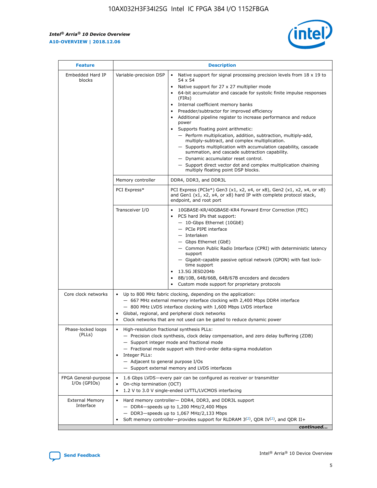r



| <b>Feature</b>                         |                                                                                                                | <b>Description</b>                                                                                                                                                                                                                                                                                                                                                                                                                                                                                                                                                                                                                                                                                                                                                                                                                                               |  |  |  |  |  |  |
|----------------------------------------|----------------------------------------------------------------------------------------------------------------|------------------------------------------------------------------------------------------------------------------------------------------------------------------------------------------------------------------------------------------------------------------------------------------------------------------------------------------------------------------------------------------------------------------------------------------------------------------------------------------------------------------------------------------------------------------------------------------------------------------------------------------------------------------------------------------------------------------------------------------------------------------------------------------------------------------------------------------------------------------|--|--|--|--|--|--|
| Embedded Hard IP<br>blocks             | Variable-precision DSP                                                                                         | Native support for signal processing precision levels from $18 \times 19$ to<br>$\bullet$<br>54 x 54<br>Native support for 27 x 27 multiplier mode<br>$\bullet$<br>64-bit accumulator and cascade for systolic finite impulse responses<br>(FIRs)<br>Internal coefficient memory banks<br>$\bullet$<br>Preadder/subtractor for improved efficiency<br>Additional pipeline register to increase performance and reduce<br>power<br>Supports floating point arithmetic:<br>- Perform multiplication, addition, subtraction, multiply-add,<br>multiply-subtract, and complex multiplication.<br>- Supports multiplication with accumulation capability, cascade<br>summation, and cascade subtraction capability.<br>- Dynamic accumulator reset control.<br>- Support direct vector dot and complex multiplication chaining<br>multiply floating point DSP blocks. |  |  |  |  |  |  |
|                                        | Memory controller                                                                                              | DDR4, DDR3, and DDR3L                                                                                                                                                                                                                                                                                                                                                                                                                                                                                                                                                                                                                                                                                                                                                                                                                                            |  |  |  |  |  |  |
|                                        | PCI Express*                                                                                                   | PCI Express (PCIe*) Gen3 (x1, x2, x4, or x8), Gen2 (x1, x2, x4, or x8)<br>and Gen1 (x1, x2, x4, or x8) hard IP with complete protocol stack,<br>endpoint, and root port                                                                                                                                                                                                                                                                                                                                                                                                                                                                                                                                                                                                                                                                                          |  |  |  |  |  |  |
|                                        | Transceiver I/O                                                                                                | 10GBASE-KR/40GBASE-KR4 Forward Error Correction (FEC)<br>PCS hard IPs that support:<br>- 10-Gbps Ethernet (10GbE)<br>- PCIe PIPE interface<br>- Interlaken<br>- Gbps Ethernet (GbE)<br>- Common Public Radio Interface (CPRI) with deterministic latency<br>support<br>- Gigabit-capable passive optical network (GPON) with fast lock-<br>time support<br>13.5G JESD204b<br>$\bullet$<br>8B/10B, 64B/66B, 64B/67B encoders and decoders<br>Custom mode support for proprietary protocols                                                                                                                                                                                                                                                                                                                                                                        |  |  |  |  |  |  |
| Core clock networks                    | $\bullet$                                                                                                      | Up to 800 MHz fabric clocking, depending on the application:<br>- 667 MHz external memory interface clocking with 2,400 Mbps DDR4 interface<br>- 800 MHz LVDS interface clocking with 1,600 Mbps LVDS interface<br>Global, regional, and peripheral clock networks<br>Clock networks that are not used can be gated to reduce dynamic power                                                                                                                                                                                                                                                                                                                                                                                                                                                                                                                      |  |  |  |  |  |  |
| Phase-locked loops<br>(PLLs)           | High-resolution fractional synthesis PLLs:<br>$\bullet$<br>Integer PLLs:<br>- Adjacent to general purpose I/Os | - Precision clock synthesis, clock delay compensation, and zero delay buffering (ZDB)<br>- Support integer mode and fractional mode<br>- Fractional mode support with third-order delta-sigma modulation<br>- Support external memory and LVDS interfaces                                                                                                                                                                                                                                                                                                                                                                                                                                                                                                                                                                                                        |  |  |  |  |  |  |
| FPGA General-purpose<br>$I/Os$ (GPIOs) | On-chip termination (OCT)<br>٠<br>$\bullet$                                                                    | 1.6 Gbps LVDS-every pair can be configured as receiver or transmitter<br>1.2 V to 3.0 V single-ended LVTTL/LVCMOS interfacing                                                                                                                                                                                                                                                                                                                                                                                                                                                                                                                                                                                                                                                                                                                                    |  |  |  |  |  |  |
| <b>External Memory</b><br>Interface    | $\bullet$                                                                                                      | Hard memory controller- DDR4, DDR3, and DDR3L support<br>$-$ DDR4-speeds up to 1,200 MHz/2,400 Mbps<br>- DDR3-speeds up to 1,067 MHz/2,133 Mbps<br>Soft memory controller—provides support for RLDRAM $3^{(2)}$ , QDR IV $^{(2)}$ , and QDR II+<br>continued                                                                                                                                                                                                                                                                                                                                                                                                                                                                                                                                                                                                     |  |  |  |  |  |  |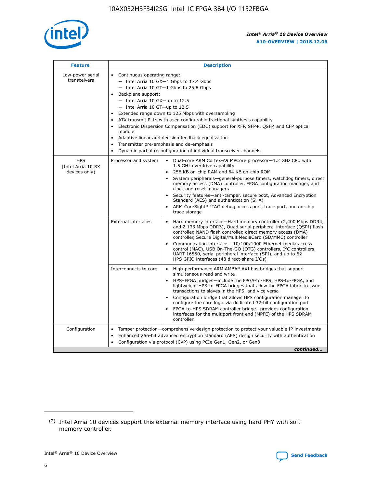

| <b>Feature</b>                                    | <b>Description</b>                                                                                                                                                                                                                                                                                                                                                                                                                                                                                                                                                                                                                                                        |
|---------------------------------------------------|---------------------------------------------------------------------------------------------------------------------------------------------------------------------------------------------------------------------------------------------------------------------------------------------------------------------------------------------------------------------------------------------------------------------------------------------------------------------------------------------------------------------------------------------------------------------------------------------------------------------------------------------------------------------------|
| Low-power serial<br>transceivers                  | • Continuous operating range:<br>- Intel Arria 10 GX-1 Gbps to 17.4 Gbps<br>$-$ Intel Arria 10 GT $-1$ Gbps to 25.8 Gbps<br>Backplane support:<br>$\bullet$<br>$-$ Intel Arria 10 GX-up to 12.5<br>$-$ Intel Arria 10 GT-up to 12.5<br>Extended range down to 125 Mbps with oversampling<br>ATX transmit PLLs with user-configurable fractional synthesis capability<br>Electronic Dispersion Compensation (EDC) support for XFP, SFP+, OSFP, and CFP optical<br>module<br>Adaptive linear and decision feedback equalization<br>$\bullet$<br>Transmitter pre-emphasis and de-emphasis<br>$\bullet$<br>Dynamic partial reconfiguration of individual transceiver channels |
| <b>HPS</b><br>(Intel Arria 10 SX<br>devices only) | Dual-core ARM Cortex-A9 MPCore processor-1.2 GHz CPU with<br>Processor and system<br>$\bullet$<br>1.5 GHz overdrive capability<br>256 KB on-chip RAM and 64 KB on-chip ROM<br>System peripherals-general-purpose timers, watchdog timers, direct<br>memory access (DMA) controller, FPGA configuration manager, and<br>clock and reset managers<br>• Security features—anti-tamper, secure boot, Advanced Encryption<br>Standard (AES) and authentication (SHA)<br>ARM CoreSight* JTAG debug access port, trace port, and on-chip<br>$\bullet$<br>trace storage                                                                                                           |
|                                                   | <b>External interfaces</b><br>Hard memory interface—Hard memory controller (2,400 Mbps DDR4,<br>and 2,133 Mbps DDR3), Quad serial peripheral interface (QSPI) flash<br>controller, NAND flash controller, direct memory access (DMA)<br>controller, Secure Digital/MultiMediaCard (SD/MMC) controller<br>Communication interface-10/100/1000 Ethernet media access<br>$\bullet$<br>control (MAC), USB On-The-GO (OTG) controllers, I <sup>2</sup> C controllers,<br>UART 16550, serial peripheral interface (SPI), and up to 62<br>HPS GPIO interfaces (48 direct-share I/Os)                                                                                             |
|                                                   | Interconnects to core<br>• High-performance ARM AMBA* AXI bus bridges that support<br>simultaneous read and write<br>HPS-FPGA bridges-include the FPGA-to-HPS, HPS-to-FPGA, and<br>$\bullet$<br>lightweight HPS-to-FPGA bridges that allow the FPGA fabric to issue<br>transactions to slaves in the HPS, and vice versa<br>Configuration bridge that allows HPS configuration manager to<br>configure the core logic via dedicated 32-bit configuration port<br>FPGA-to-HPS SDRAM controller bridge-provides configuration<br>interfaces for the multiport front end (MPFE) of the HPS SDRAM<br>controller                                                               |
| Configuration                                     | Tamper protection—comprehensive design protection to protect your valuable IP investments<br>Enhanced 256-bit advanced encryption standard (AES) design security with authentication<br>$\bullet$<br>Configuration via protocol (CvP) using PCIe Gen1, Gen2, or Gen3<br>continued                                                                                                                                                                                                                                                                                                                                                                                         |

<sup>(2)</sup> Intel Arria 10 devices support this external memory interface using hard PHY with soft memory controller.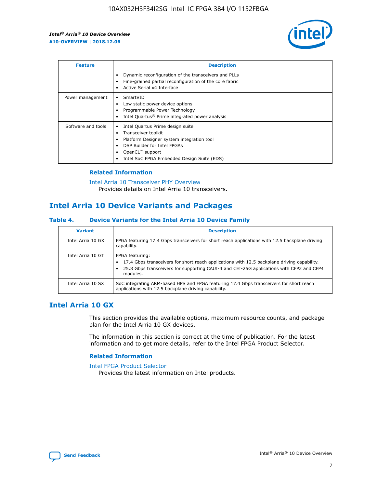

| <b>Feature</b>     | <b>Description</b>                                                                                                                                                                                               |
|--------------------|------------------------------------------------------------------------------------------------------------------------------------------------------------------------------------------------------------------|
|                    | Dynamic reconfiguration of the transceivers and PLLs<br>Fine-grained partial reconfiguration of the core fabric<br>Active Serial x4 Interface<br>$\bullet$                                                       |
| Power management   | SmartVID<br>Low static power device options<br>Programmable Power Technology<br>Intel Quartus <sup>®</sup> Prime integrated power analysis                                                                       |
| Software and tools | Intel Quartus Prime design suite<br>Transceiver toolkit<br>Platform Designer system integration tool<br>DSP Builder for Intel FPGAs<br>OpenCL <sup>™</sup> support<br>Intel SoC FPGA Embedded Design Suite (EDS) |

#### **Related Information**

[Intel Arria 10 Transceiver PHY Overview](https://www.intel.com/content/www/us/en/programmable/documentation/nik1398707230472.html#nik1398706768037) Provides details on Intel Arria 10 transceivers.

# **Intel Arria 10 Device Variants and Packages**

#### **Table 4. Device Variants for the Intel Arria 10 Device Family**

| <b>Variant</b>    | <b>Description</b>                                                                                                                                                                                                     |
|-------------------|------------------------------------------------------------------------------------------------------------------------------------------------------------------------------------------------------------------------|
| Intel Arria 10 GX | FPGA featuring 17.4 Gbps transceivers for short reach applications with 12.5 backplane driving<br>capability.                                                                                                          |
| Intel Arria 10 GT | FPGA featuring:<br>17.4 Gbps transceivers for short reach applications with 12.5 backplane driving capability.<br>25.8 Gbps transceivers for supporting CAUI-4 and CEI-25G applications with CFP2 and CFP4<br>modules. |
| Intel Arria 10 SX | SoC integrating ARM-based HPS and FPGA featuring 17.4 Gbps transceivers for short reach<br>applications with 12.5 backplane driving capability.                                                                        |

#### **Intel Arria 10 GX**

This section provides the available options, maximum resource counts, and package plan for the Intel Arria 10 GX devices.

The information in this section is correct at the time of publication. For the latest information and to get more details, refer to the Intel FPGA Product Selector.

#### **Related Information**

#### [Intel FPGA Product Selector](http://www.altera.com/products/selector/psg-selector.html) Provides the latest information on Intel products.

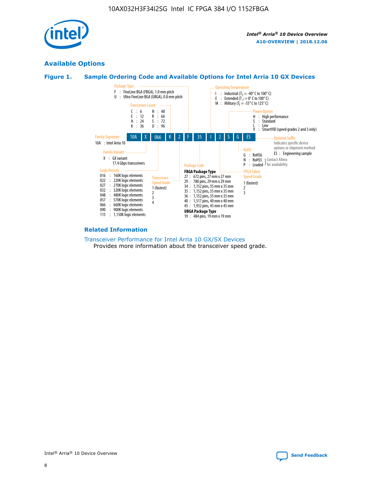

#### **Available Options**





#### **Related Information**

[Transceiver Performance for Intel Arria 10 GX/SX Devices](https://www.intel.com/content/www/us/en/programmable/documentation/mcn1413182292568.html#mcn1413213965502) Provides more information about the transceiver speed grade.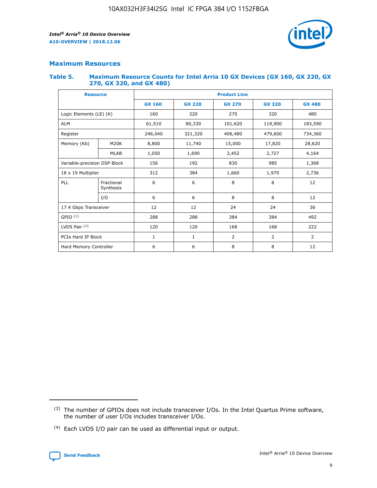

#### **Maximum Resources**

#### **Table 5. Maximum Resource Counts for Intel Arria 10 GX Devices (GX 160, GX 220, GX 270, GX 320, and GX 480)**

| <b>Resource</b>         |                                                   | <b>Product Line</b> |                  |                    |                |                |  |  |  |
|-------------------------|---------------------------------------------------|---------------------|------------------|--------------------|----------------|----------------|--|--|--|
|                         |                                                   | <b>GX 160</b>       | <b>GX 220</b>    | <b>GX 270</b>      | <b>GX 320</b>  | <b>GX 480</b>  |  |  |  |
| Logic Elements (LE) (K) |                                                   | 160                 | 220              | 270                | 320            | 480            |  |  |  |
| <b>ALM</b>              |                                                   | 61,510              | 80,330           | 101,620            | 119,900        | 183,590        |  |  |  |
| Register                |                                                   | 246,040             | 321,320          | 406,480<br>479,600 |                | 734,360        |  |  |  |
| Memory (Kb)             | M <sub>20</sub> K                                 | 8,800               | 11,740<br>15,000 |                    | 17,820         | 28,620         |  |  |  |
| <b>MLAB</b>             |                                                   | 1,050               | 1,690            | 2,452              | 2,727          | 4,164          |  |  |  |
|                         | Variable-precision DSP Block<br>156<br>192<br>830 |                     |                  |                    | 985            | 1,368          |  |  |  |
| 18 x 19 Multiplier      |                                                   | 312                 | 384              | 1,970<br>1,660     |                | 2,736          |  |  |  |
| PLL                     | Fractional<br>Synthesis                           | 6                   | 6                | 8                  | 8              | 12             |  |  |  |
|                         | I/O                                               | 6                   | 6                | 8                  | 8              | 12             |  |  |  |
| 17.4 Gbps Transceiver   |                                                   | 12                  | 12               | 24                 | 24             | 36             |  |  |  |
| GPIO <sup>(3)</sup>     |                                                   | 288                 | 288              | 384<br>384         |                | 492            |  |  |  |
| LVDS Pair $(4)$         |                                                   | 120                 | 120              | 168                | 168            | 222            |  |  |  |
| PCIe Hard IP Block      |                                                   | 1                   | 1                | 2                  | $\overline{2}$ | $\overline{2}$ |  |  |  |
| Hard Memory Controller  |                                                   | 6                   | 6                | 8                  | 8              | 12             |  |  |  |

<sup>(4)</sup> Each LVDS I/O pair can be used as differential input or output.



<sup>(3)</sup> The number of GPIOs does not include transceiver I/Os. In the Intel Quartus Prime software, the number of user I/Os includes transceiver I/Os.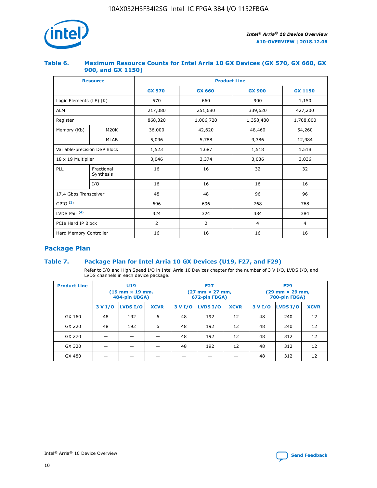

#### **Table 6. Maximum Resource Counts for Intel Arria 10 GX Devices (GX 570, GX 660, GX 900, and GX 1150)**

|                              | <b>Resource</b>         | <b>Product Line</b> |                |                |                |  |  |  |
|------------------------------|-------------------------|---------------------|----------------|----------------|----------------|--|--|--|
|                              |                         | <b>GX 570</b>       | <b>GX 660</b>  | <b>GX 900</b>  | <b>GX 1150</b> |  |  |  |
| Logic Elements (LE) (K)      |                         | 570                 | 660            | 900            | 1,150          |  |  |  |
| <b>ALM</b>                   |                         | 217,080             | 251,680        | 339,620        | 427,200        |  |  |  |
| Register                     |                         | 868,320             | 1,006,720      | 1,358,480      | 1,708,800      |  |  |  |
| Memory (Kb)                  | <b>M20K</b>             | 36,000              | 42,620         | 48,460         | 54,260         |  |  |  |
|                              | <b>MLAB</b>             | 5,096               | 5,788          | 9,386          | 12,984         |  |  |  |
| Variable-precision DSP Block |                         | 1,523               | 1,687          | 1,518          | 1,518          |  |  |  |
|                              | 18 x 19 Multiplier      |                     | 3,374          | 3,036          | 3,036          |  |  |  |
| PLL                          | Fractional<br>Synthesis | 16                  | 16             | 32             | 32             |  |  |  |
|                              | I/O                     | 16                  | 16             | 16             | 16             |  |  |  |
| 17.4 Gbps Transceiver        |                         | 48                  | 48             | 96             | 96             |  |  |  |
| GPIO <sup>(3)</sup>          |                         | 696                 | 696            | 768            | 768            |  |  |  |
| LVDS Pair $(4)$              |                         | 324                 | 324            | 384            | 384            |  |  |  |
| PCIe Hard IP Block           |                         | 2                   | $\overline{2}$ | $\overline{4}$ | $\overline{4}$ |  |  |  |
| Hard Memory Controller       |                         | 16                  | 16             | 16             | 16             |  |  |  |

### **Package Plan**

#### **Table 7. Package Plan for Intel Arria 10 GX Devices (U19, F27, and F29)**

Refer to I/O and High Speed I/O in Intel Arria 10 Devices chapter for the number of 3 V I/O, LVDS I/O, and LVDS channels in each device package.

| <b>Product Line</b> | U <sub>19</sub><br>$(19 \text{ mm} \times 19 \text{ mm})$<br>484-pin UBGA) |          |             |         | <b>F27</b><br>(27 mm × 27 mm,<br>672-pin FBGA) |             | <b>F29</b><br>(29 mm × 29 mm,<br>780-pin FBGA) |          |             |  |
|---------------------|----------------------------------------------------------------------------|----------|-------------|---------|------------------------------------------------|-------------|------------------------------------------------|----------|-------------|--|
|                     | 3 V I/O                                                                    | LVDS I/O | <b>XCVR</b> | 3 V I/O | LVDS I/O                                       | <b>XCVR</b> | 3 V I/O                                        | LVDS I/O | <b>XCVR</b> |  |
| GX 160              | 48                                                                         | 192      | 6           | 48      | 192                                            | 12          | 48                                             | 240      | 12          |  |
| GX 220              | 48                                                                         | 192      | 6           | 48      | 192                                            | 12          | 48                                             | 240      | 12          |  |
| GX 270              |                                                                            |          |             | 48      | 192                                            | 12          | 48                                             | 312      | 12          |  |
| GX 320              |                                                                            |          |             | 48      | 192                                            | 12          | 48                                             | 312      | 12          |  |
| GX 480              |                                                                            |          |             |         |                                                |             | 48                                             | 312      | 12          |  |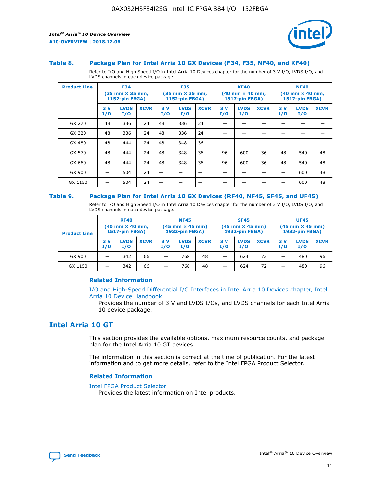

#### **Table 8. Package Plan for Intel Arria 10 GX Devices (F34, F35, NF40, and KF40)**

Refer to I/O and High Speed I/O in Intel Arria 10 Devices chapter for the number of 3 V I/O, LVDS I/O, and LVDS channels in each device package.

| <b>Product Line</b> | <b>F34</b><br>$(35 \text{ mm} \times 35 \text{ mm})$<br>1152-pin FBGA) |                    | <b>F35</b><br>$(35 \text{ mm} \times 35 \text{ mm})$<br><b>1152-pin FBGA)</b> |           | <b>KF40</b><br>$(40 \text{ mm} \times 40 \text{ mm})$<br>1517-pin FBGA) |             |            | <b>NF40</b><br>$(40 \text{ mm} \times 40 \text{ mm})$<br><b>1517-pin FBGA)</b> |             |            |                    |             |
|---------------------|------------------------------------------------------------------------|--------------------|-------------------------------------------------------------------------------|-----------|-------------------------------------------------------------------------|-------------|------------|--------------------------------------------------------------------------------|-------------|------------|--------------------|-------------|
|                     | 3V<br>I/O                                                              | <b>LVDS</b><br>I/O | <b>XCVR</b>                                                                   | 3V<br>I/O | <b>LVDS</b><br>I/O                                                      | <b>XCVR</b> | 3 V<br>I/O | <b>LVDS</b><br>I/O                                                             | <b>XCVR</b> | 3 V<br>I/O | <b>LVDS</b><br>I/O | <b>XCVR</b> |
| GX 270              | 48                                                                     | 336                | 24                                                                            | 48        | 336                                                                     | 24          |            |                                                                                |             |            |                    |             |
| GX 320              | 48                                                                     | 336                | 24                                                                            | 48        | 336                                                                     | 24          |            |                                                                                |             |            |                    |             |
| GX 480              | 48                                                                     | 444                | 24                                                                            | 48        | 348                                                                     | 36          |            |                                                                                |             |            |                    |             |
| GX 570              | 48                                                                     | 444                | 24                                                                            | 48        | 348                                                                     | 36          | 96         | 600                                                                            | 36          | 48         | 540                | 48          |
| GX 660              | 48                                                                     | 444                | 24                                                                            | 48        | 348                                                                     | 36          | 96         | 600                                                                            | 36          | 48         | 540                | 48          |
| GX 900              |                                                                        | 504                | 24                                                                            | -         |                                                                         |             |            |                                                                                |             |            | 600                | 48          |
| GX 1150             |                                                                        | 504                | 24                                                                            |           |                                                                         |             |            |                                                                                |             |            | 600                | 48          |

#### **Table 9. Package Plan for Intel Arria 10 GX Devices (RF40, NF45, SF45, and UF45)**

Refer to I/O and High Speed I/O in Intel Arria 10 Devices chapter for the number of 3 V I/O, LVDS I/O, and LVDS channels in each device package.

| <b>Product Line</b> | <b>RF40</b><br>$(40 \text{ mm} \times 40 \text{ mm})$<br>1517-pin FBGA) |                    | <b>NF45</b><br>$(45 \text{ mm} \times 45 \text{ mm})$<br><b>1932-pin FBGA)</b> |            |                    | <b>SF45</b><br>$(45 \text{ mm} \times 45 \text{ mm})$<br><b>1932-pin FBGA)</b> |            |                    | <b>UF45</b><br>$(45 \text{ mm} \times 45 \text{ mm})$<br>1932-pin FBGA) |           |                    |             |
|---------------------|-------------------------------------------------------------------------|--------------------|--------------------------------------------------------------------------------|------------|--------------------|--------------------------------------------------------------------------------|------------|--------------------|-------------------------------------------------------------------------|-----------|--------------------|-------------|
|                     | 3V<br>I/O                                                               | <b>LVDS</b><br>I/O | <b>XCVR</b>                                                                    | 3 V<br>I/O | <b>LVDS</b><br>I/O | <b>XCVR</b>                                                                    | 3 V<br>I/O | <b>LVDS</b><br>I/O | <b>XCVR</b>                                                             | 3V<br>I/O | <b>LVDS</b><br>I/O | <b>XCVR</b> |
| GX 900              |                                                                         | 342                | 66                                                                             | _          | 768                | 48                                                                             |            | 624                | 72                                                                      |           | 480                | 96          |
| GX 1150             |                                                                         | 342                | 66                                                                             | -          | 768                | 48                                                                             |            | 624                | 72                                                                      |           | 480                | 96          |

#### **Related Information**

[I/O and High-Speed Differential I/O Interfaces in Intel Arria 10 Devices chapter, Intel](https://www.intel.com/content/www/us/en/programmable/documentation/sam1403482614086.html#sam1403482030321) [Arria 10 Device Handbook](https://www.intel.com/content/www/us/en/programmable/documentation/sam1403482614086.html#sam1403482030321)

Provides the number of 3 V and LVDS I/Os, and LVDS channels for each Intel Arria 10 device package.

### **Intel Arria 10 GT**

This section provides the available options, maximum resource counts, and package plan for the Intel Arria 10 GT devices.

The information in this section is correct at the time of publication. For the latest information and to get more details, refer to the Intel FPGA Product Selector.

#### **Related Information**

#### [Intel FPGA Product Selector](http://www.altera.com/products/selector/psg-selector.html)

Provides the latest information on Intel products.

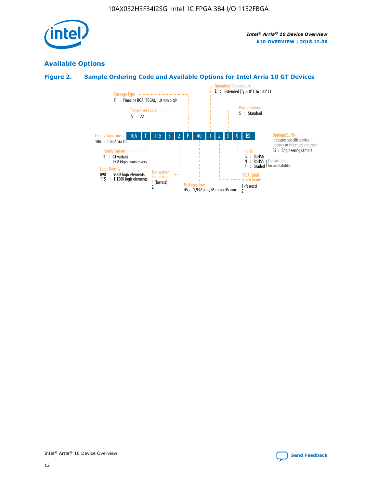

### **Available Options**

#### **Figure 2. Sample Ordering Code and Available Options for Intel Arria 10 GT Devices**

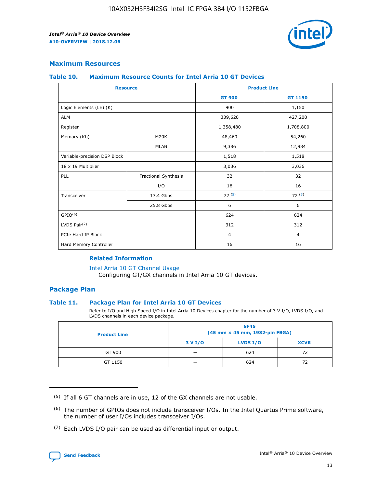

#### **Maximum Resources**

#### **Table 10. Maximum Resource Counts for Intel Arria 10 GT Devices**

| <b>Resource</b>              |                      | <b>Product Line</b> |                |  |
|------------------------------|----------------------|---------------------|----------------|--|
|                              |                      | <b>GT 900</b>       | GT 1150        |  |
| Logic Elements (LE) (K)      |                      | 900                 | 1,150          |  |
| <b>ALM</b>                   |                      | 339,620             | 427,200        |  |
| Register                     |                      | 1,358,480           | 1,708,800      |  |
| Memory (Kb)                  | M <sub>20</sub> K    | 48,460              | 54,260         |  |
|                              | <b>MLAB</b>          | 9,386               | 12,984         |  |
| Variable-precision DSP Block |                      | 1,518               | 1,518          |  |
| 18 x 19 Multiplier           |                      | 3,036               | 3,036          |  |
| <b>PLL</b>                   | Fractional Synthesis | 32                  | 32             |  |
|                              | I/O                  | 16                  | 16             |  |
| Transceiver                  | 17.4 Gbps            | 72(5)               | 72(5)          |  |
|                              | 25.8 Gbps            | 6                   | 6              |  |
| GPIO <sup>(6)</sup>          |                      | 624                 | 624            |  |
| LVDS Pair $(7)$              |                      | 312                 | 312            |  |
| PCIe Hard IP Block           |                      | $\overline{4}$      | $\overline{4}$ |  |
| Hard Memory Controller       |                      | 16                  | 16             |  |

#### **Related Information**

#### [Intel Arria 10 GT Channel Usage](https://www.intel.com/content/www/us/en/programmable/documentation/nik1398707230472.html#nik1398707008178)

Configuring GT/GX channels in Intel Arria 10 GT devices.

#### **Package Plan**

#### **Table 11. Package Plan for Intel Arria 10 GT Devices**

Refer to I/O and High Speed I/O in Intel Arria 10 Devices chapter for the number of 3 V I/O, LVDS I/O, and LVDS channels in each device package.

| <b>Product Line</b> | <b>SF45</b><br>(45 mm × 45 mm, 1932-pin FBGA) |                 |             |  |  |  |  |
|---------------------|-----------------------------------------------|-----------------|-------------|--|--|--|--|
|                     | 3 V I/O                                       | <b>LVDS I/O</b> | <b>XCVR</b> |  |  |  |  |
| GT 900              |                                               | 624             | 72          |  |  |  |  |
| GT 1150             |                                               | 624             | 72          |  |  |  |  |

<sup>(7)</sup> Each LVDS I/O pair can be used as differential input or output.



 $(5)$  If all 6 GT channels are in use, 12 of the GX channels are not usable.

<sup>(6)</sup> The number of GPIOs does not include transceiver I/Os. In the Intel Quartus Prime software, the number of user I/Os includes transceiver I/Os.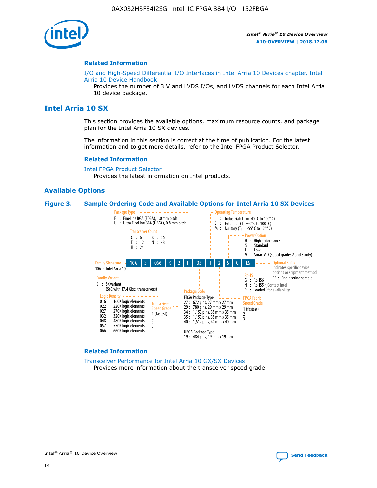

#### **Related Information**

[I/O and High-Speed Differential I/O Interfaces in Intel Arria 10 Devices chapter, Intel](https://www.intel.com/content/www/us/en/programmable/documentation/sam1403482614086.html#sam1403482030321) [Arria 10 Device Handbook](https://www.intel.com/content/www/us/en/programmable/documentation/sam1403482614086.html#sam1403482030321)

Provides the number of 3 V and LVDS I/Os, and LVDS channels for each Intel Arria 10 device package.

#### **Intel Arria 10 SX**

This section provides the available options, maximum resource counts, and package plan for the Intel Arria 10 SX devices.

The information in this section is correct at the time of publication. For the latest information and to get more details, refer to the Intel FPGA Product Selector.

#### **Related Information**

[Intel FPGA Product Selector](http://www.altera.com/products/selector/psg-selector.html) Provides the latest information on Intel products.

#### **Available Options**

#### **Figure 3. Sample Ordering Code and Available Options for Intel Arria 10 SX Devices**



#### **Related Information**

[Transceiver Performance for Intel Arria 10 GX/SX Devices](https://www.intel.com/content/www/us/en/programmable/documentation/mcn1413182292568.html#mcn1413213965502) Provides more information about the transceiver speed grade.

Intel® Arria® 10 Device Overview **[Send Feedback](mailto:FPGAtechdocfeedback@intel.com?subject=Feedback%20on%20Intel%20Arria%2010%20Device%20Overview%20(A10-OVERVIEW%202018.12.06)&body=We%20appreciate%20your%20feedback.%20In%20your%20comments,%20also%20specify%20the%20page%20number%20or%20paragraph.%20Thank%20you.)**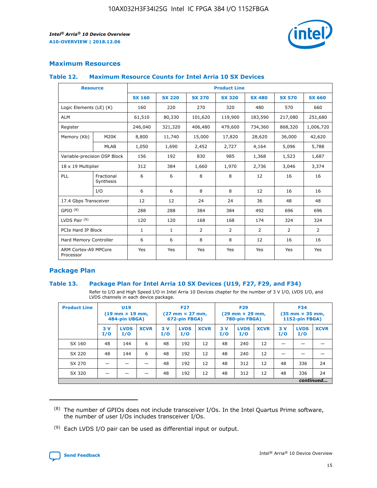

#### **Maximum Resources**

#### **Table 12. Maximum Resource Counts for Intel Arria 10 SX Devices**

|                                   | <b>Resource</b>         |               |               |                | <b>Product Line</b> |                |                |                |
|-----------------------------------|-------------------------|---------------|---------------|----------------|---------------------|----------------|----------------|----------------|
|                                   |                         | <b>SX 160</b> | <b>SX 220</b> | <b>SX 270</b>  | <b>SX 320</b>       | <b>SX 480</b>  | <b>SX 570</b>  | <b>SX 660</b>  |
| Logic Elements (LE) (K)           |                         | 160           | 220           | 270            | 320                 | 480            | 570            | 660            |
| <b>ALM</b>                        |                         | 61,510        | 80,330        | 101,620        | 119,900             | 183,590        | 217,080        | 251,680        |
| Register                          |                         | 246,040       | 321,320       | 406,480        | 479,600             | 734,360        | 868,320        | 1,006,720      |
| Memory (Kb)                       | M <sub>20</sub> K       | 8,800         | 11,740        | 15,000         | 17,820              | 28,620         | 36,000         | 42,620         |
|                                   | <b>MLAB</b>             | 1,050         | 1,690         | 2,452          | 2,727               | 4,164          | 5,096          | 5,788          |
| Variable-precision DSP Block      |                         | 156           | 192           | 830            | 985                 | 1,368          | 1,523          | 1,687          |
| 18 x 19 Multiplier                |                         | 312           | 384           | 1,660          | 1,970               | 2,736          | 3,046          | 3,374          |
| <b>PLL</b>                        | Fractional<br>Synthesis | 6             | 6             | 8              | 8                   | 12             | 16             | 16             |
|                                   | I/O                     | 6             | 6             | 8              | 8                   | 12             | 16             | 16             |
| 17.4 Gbps Transceiver             |                         | 12            | 12            | 24             | 24                  | 36             | 48             | 48             |
| GPIO <sup>(8)</sup>               |                         | 288           | 288           | 384            | 384                 | 492            | 696            | 696            |
| LVDS Pair $(9)$                   |                         | 120           | 120           | 168            | 168                 | 174            | 324            | 324            |
|                                   | PCIe Hard IP Block      |               | $\mathbf{1}$  | $\overline{2}$ | $\overline{2}$      | $\overline{2}$ | $\overline{2}$ | $\overline{2}$ |
| Hard Memory Controller            |                         | 6             | 6             | 8              | 8                   | 12             | 16             | 16             |
| ARM Cortex-A9 MPCore<br>Processor |                         | Yes           | Yes           | Yes            | Yes                 | Yes            | Yes            | Yes            |

#### **Package Plan**

#### **Table 13. Package Plan for Intel Arria 10 SX Devices (U19, F27, F29, and F34)**

Refer to I/O and High Speed I/O in Intel Arria 10 Devices chapter for the number of 3 V I/O, LVDS I/O, and LVDS channels in each device package.

| <b>Product Line</b> | <b>U19</b><br>$(19 \text{ mm} \times 19 \text{ mm})$<br>484-pin UBGA) |                    |             | <b>F27</b><br>$(27 \text{ mm} \times 27 \text{ mm})$<br>672-pin FBGA) |                    | <b>F29</b><br>$(29$ mm $\times$ 29 mm,<br>780-pin FBGA) |            |                    | <b>F34</b><br>$(35 \text{ mm} \times 35 \text{ mm})$<br>1152-pin FBGA) |           |                    |             |
|---------------------|-----------------------------------------------------------------------|--------------------|-------------|-----------------------------------------------------------------------|--------------------|---------------------------------------------------------|------------|--------------------|------------------------------------------------------------------------|-----------|--------------------|-------------|
|                     | 3V<br>I/O                                                             | <b>LVDS</b><br>I/O | <b>XCVR</b> | 3V<br>I/O                                                             | <b>LVDS</b><br>I/O | <b>XCVR</b>                                             | 3 V<br>I/O | <b>LVDS</b><br>I/O | <b>XCVR</b>                                                            | 3V<br>I/O | <b>LVDS</b><br>I/O | <b>XCVR</b> |
| SX 160              | 48                                                                    | 144                | 6           | 48                                                                    | 192                | 12                                                      | 48         | 240                | 12                                                                     | –         |                    |             |
| SX 220              | 48                                                                    | 144                | 6           | 48                                                                    | 192                | 12                                                      | 48         | 240                | 12                                                                     |           |                    |             |
| SX 270              |                                                                       |                    |             | 48                                                                    | 192                | 12                                                      | 48         | 312                | 12                                                                     | 48        | 336                | 24          |
| SX 320              |                                                                       |                    |             | 48                                                                    | 192                | 12                                                      | 48         | 312                | 12                                                                     | 48        | 336                | 24          |
|                     | continued                                                             |                    |             |                                                                       |                    |                                                         |            |                    |                                                                        |           |                    |             |

 $(8)$  The number of GPIOs does not include transceiver I/Os. In the Intel Quartus Prime software, the number of user I/Os includes transceiver I/Os.

 $(9)$  Each LVDS I/O pair can be used as differential input or output.

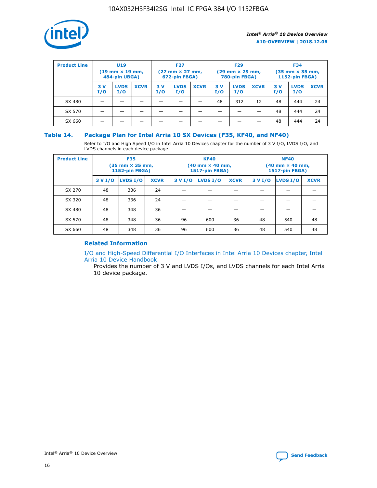

| <b>Product Line</b> | U <sub>19</sub><br>$(19 \text{ mm} \times 19 \text{ mm})$<br>484-pin UBGA) |                    | <b>F27</b><br>$(27 \text{ mm} \times 27 \text{ mm})$<br>672-pin FBGA) |           | <b>F29</b><br>$(29 \text{ mm} \times 29 \text{ mm})$<br>780-pin FBGA) |             |           | <b>F34</b><br>$(35$ mm $\times$ 35 mm,<br><b>1152-pin FBGA)</b> |             |           |                    |             |
|---------------------|----------------------------------------------------------------------------|--------------------|-----------------------------------------------------------------------|-----------|-----------------------------------------------------------------------|-------------|-----------|-----------------------------------------------------------------|-------------|-----------|--------------------|-------------|
|                     | 3V<br>I/O                                                                  | <b>LVDS</b><br>I/O | <b>XCVR</b>                                                           | 3V<br>I/O | <b>LVDS</b><br>I/O                                                    | <b>XCVR</b> | 3V<br>I/O | <b>LVDS</b><br>I/O                                              | <b>XCVR</b> | 3V<br>I/O | <b>LVDS</b><br>I/O | <b>XCVR</b> |
| SX 480              |                                                                            |                    |                                                                       |           |                                                                       |             | 48        | 312                                                             | 12          | 48        | 444                | 24          |
| SX 570              |                                                                            |                    |                                                                       |           |                                                                       |             |           |                                                                 |             | 48        | 444                | 24          |
| SX 660              |                                                                            |                    |                                                                       |           |                                                                       |             |           |                                                                 |             | 48        | 444                | 24          |

#### **Table 14. Package Plan for Intel Arria 10 SX Devices (F35, KF40, and NF40)**

Refer to I/O and High Speed I/O in Intel Arria 10 Devices chapter for the number of 3 V I/O, LVDS I/O, and LVDS channels in each device package.

| <b>Product Line</b> | <b>F35</b><br>(35 mm × 35 mm,<br><b>1152-pin FBGA)</b> |          |             |         | <b>KF40</b><br>(40 mm × 40 mm,<br>1517-pin FBGA) |    | <b>NF40</b><br>$(40 \text{ mm} \times 40 \text{ mm})$<br>1517-pin FBGA) |          |             |  |
|---------------------|--------------------------------------------------------|----------|-------------|---------|--------------------------------------------------|----|-------------------------------------------------------------------------|----------|-------------|--|
|                     | 3 V I/O                                                | LVDS I/O | <b>XCVR</b> | 3 V I/O | <b>LVDS I/O</b><br><b>XCVR</b>                   |    |                                                                         | LVDS I/O | <b>XCVR</b> |  |
| SX 270              | 48                                                     | 336      | 24          |         |                                                  |    |                                                                         |          |             |  |
| SX 320              | 48                                                     | 336      | 24          |         |                                                  |    |                                                                         |          |             |  |
| SX 480              | 48                                                     | 348      | 36          |         |                                                  |    |                                                                         |          |             |  |
| SX 570              | 48                                                     | 348      | 36          | 96      | 600                                              | 36 | 48                                                                      | 540      | 48          |  |
| SX 660              | 48                                                     | 348      | 36          | 96      | 600                                              | 36 | 48                                                                      | 540      | 48          |  |

#### **Related Information**

[I/O and High-Speed Differential I/O Interfaces in Intel Arria 10 Devices chapter, Intel](https://www.intel.com/content/www/us/en/programmable/documentation/sam1403482614086.html#sam1403482030321) [Arria 10 Device Handbook](https://www.intel.com/content/www/us/en/programmable/documentation/sam1403482614086.html#sam1403482030321)

Provides the number of 3 V and LVDS I/Os, and LVDS channels for each Intel Arria 10 device package.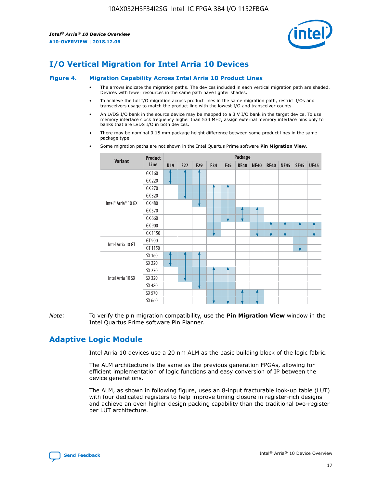

# **I/O Vertical Migration for Intel Arria 10 Devices**

#### **Figure 4. Migration Capability Across Intel Arria 10 Product Lines**

- The arrows indicate the migration paths. The devices included in each vertical migration path are shaded. Devices with fewer resources in the same path have lighter shades.
- To achieve the full I/O migration across product lines in the same migration path, restrict I/Os and transceivers usage to match the product line with the lowest I/O and transceiver counts.
- An LVDS I/O bank in the source device may be mapped to a 3 V I/O bank in the target device. To use memory interface clock frequency higher than 533 MHz, assign external memory interface pins only to banks that are LVDS I/O in both devices.
- There may be nominal 0.15 mm package height difference between some product lines in the same package type.
	- **Variant Product Line Package U19 F27 F29 F34 F35 KF40 NF40 RF40 NF45 SF45 UF45** Intel® Arria® 10 GX GX 160 GX 220 GX 270 GX 320 GX 480 GX 570 GX 660 GX 900 GX 1150 Intel Arria 10 GT GT 900 GT 1150 Intel Arria 10 SX SX 160 SX 220 SX 270 SX 320 SX 480 SX 570 SX 660
- Some migration paths are not shown in the Intel Quartus Prime software **Pin Migration View**.

*Note:* To verify the pin migration compatibility, use the **Pin Migration View** window in the Intel Quartus Prime software Pin Planner.

# **Adaptive Logic Module**

Intel Arria 10 devices use a 20 nm ALM as the basic building block of the logic fabric.

The ALM architecture is the same as the previous generation FPGAs, allowing for efficient implementation of logic functions and easy conversion of IP between the device generations.

The ALM, as shown in following figure, uses an 8-input fracturable look-up table (LUT) with four dedicated registers to help improve timing closure in register-rich designs and achieve an even higher design packing capability than the traditional two-register per LUT architecture.

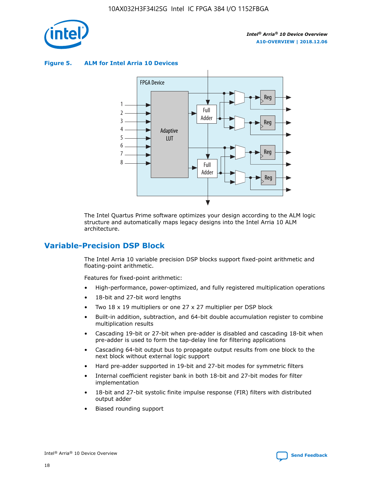

**Figure 5. ALM for Intel Arria 10 Devices**



The Intel Quartus Prime software optimizes your design according to the ALM logic structure and automatically maps legacy designs into the Intel Arria 10 ALM architecture.

# **Variable-Precision DSP Block**

The Intel Arria 10 variable precision DSP blocks support fixed-point arithmetic and floating-point arithmetic.

Features for fixed-point arithmetic:

- High-performance, power-optimized, and fully registered multiplication operations
- 18-bit and 27-bit word lengths
- Two 18 x 19 multipliers or one 27 x 27 multiplier per DSP block
- Built-in addition, subtraction, and 64-bit double accumulation register to combine multiplication results
- Cascading 19-bit or 27-bit when pre-adder is disabled and cascading 18-bit when pre-adder is used to form the tap-delay line for filtering applications
- Cascading 64-bit output bus to propagate output results from one block to the next block without external logic support
- Hard pre-adder supported in 19-bit and 27-bit modes for symmetric filters
- Internal coefficient register bank in both 18-bit and 27-bit modes for filter implementation
- 18-bit and 27-bit systolic finite impulse response (FIR) filters with distributed output adder
- Biased rounding support

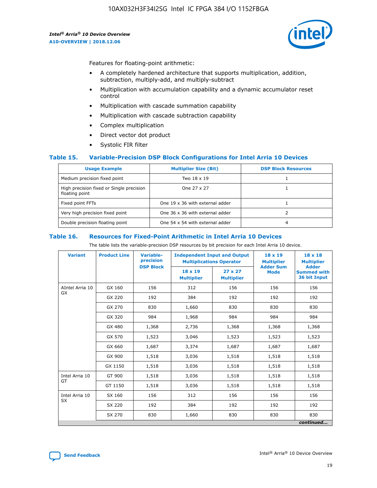

Features for floating-point arithmetic:

- A completely hardened architecture that supports multiplication, addition, subtraction, multiply-add, and multiply-subtract
- Multiplication with accumulation capability and a dynamic accumulator reset control
- Multiplication with cascade summation capability
- Multiplication with cascade subtraction capability
- Complex multiplication
- Direct vector dot product
- Systolic FIR filter

#### **Table 15. Variable-Precision DSP Block Configurations for Intel Arria 10 Devices**

| <b>Usage Example</b>                                       | <b>Multiplier Size (Bit)</b>    | <b>DSP Block Resources</b> |
|------------------------------------------------------------|---------------------------------|----------------------------|
| Medium precision fixed point                               | Two 18 x 19                     |                            |
| High precision fixed or Single precision<br>floating point | One 27 x 27                     |                            |
| Fixed point FFTs                                           | One 19 x 36 with external adder |                            |
| Very high precision fixed point                            | One 36 x 36 with external adder |                            |
| Double precision floating point                            | One 54 x 54 with external adder | 4                          |

#### **Table 16. Resources for Fixed-Point Arithmetic in Intel Arria 10 Devices**

The table lists the variable-precision DSP resources by bit precision for each Intel Arria 10 device.

| <b>Variant</b>  | <b>Product Line</b> | <b>Variable-</b><br>precision<br><b>DSP Block</b> | <b>Independent Input and Output</b><br><b>Multiplications Operator</b> |                                     | 18 x 19<br><b>Multiplier</b><br><b>Adder Sum</b> | $18 \times 18$<br><b>Multiplier</b><br><b>Adder</b> |
|-----------------|---------------------|---------------------------------------------------|------------------------------------------------------------------------|-------------------------------------|--------------------------------------------------|-----------------------------------------------------|
|                 |                     |                                                   | 18 x 19<br><b>Multiplier</b>                                           | $27 \times 27$<br><b>Multiplier</b> | <b>Mode</b>                                      | <b>Summed with</b><br>36 bit Input                  |
| AIntel Arria 10 | GX 160              | 156                                               | 312                                                                    | 156                                 | 156                                              | 156                                                 |
| GX              | GX 220              | 192                                               | 384                                                                    | 192                                 | 192                                              | 192                                                 |
|                 | GX 270              | 830                                               | 1,660                                                                  | 830                                 | 830                                              | 830                                                 |
|                 | GX 320              | 984                                               | 1,968                                                                  | 984                                 | 984                                              | 984                                                 |
|                 | GX 480              | 1,368                                             | 2,736                                                                  | 1,368                               | 1,368                                            | 1,368                                               |
|                 | GX 570              | 1,523                                             | 3,046                                                                  | 1,523                               | 1,523                                            | 1,523                                               |
|                 | GX 660              | 1,687                                             | 3,374                                                                  | 1,687                               | 1,687                                            | 1,687                                               |
|                 | GX 900              | 1,518                                             | 3,036                                                                  | 1,518                               | 1,518                                            | 1,518                                               |
|                 | GX 1150             | 1,518                                             | 3,036                                                                  | 1,518                               | 1,518                                            | 1,518                                               |
| Intel Arria 10  | GT 900              | 1,518                                             | 3,036                                                                  | 1,518                               | 1,518                                            | 1,518                                               |
| GT              | GT 1150             | 1,518                                             | 3,036                                                                  | 1,518                               | 1,518                                            | 1,518                                               |
| Intel Arria 10  | SX 160              | 156                                               | 312                                                                    | 156                                 | 156                                              | 156                                                 |
| <b>SX</b>       | SX 220              | 192                                               | 384                                                                    | 192                                 | 192                                              | 192                                                 |
|                 | SX 270              | 830                                               | 1,660                                                                  | 830                                 | 830                                              | 830                                                 |
|                 |                     |                                                   |                                                                        |                                     |                                                  | continued                                           |

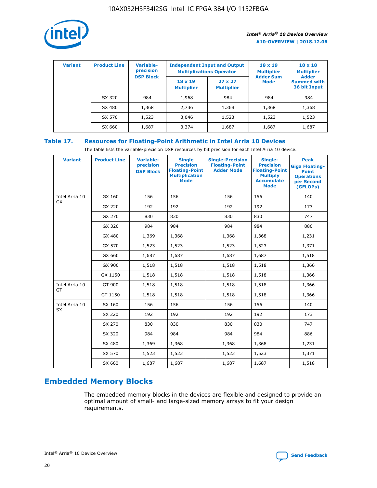

| <b>Variant</b> | <b>Product Line</b> | Variable-<br>precision | <b>Independent Input and Output</b><br><b>Multiplications Operator</b> |                                     | $18 \times 19$<br><b>Multiplier</b><br><b>Adder Sum</b> | $18 \times 18$<br><b>Multiplier</b><br><b>Adder</b> |  |
|----------------|---------------------|------------------------|------------------------------------------------------------------------|-------------------------------------|---------------------------------------------------------|-----------------------------------------------------|--|
|                |                     | <b>DSP Block</b>       | $18 \times 19$<br><b>Multiplier</b>                                    | $27 \times 27$<br><b>Multiplier</b> | <b>Mode</b>                                             | <b>Summed with</b><br>36 bit Input                  |  |
|                | SX 320              | 984                    | 1,968                                                                  | 984                                 | 984                                                     | 984                                                 |  |
|                | SX 480              | 1,368                  | 2,736                                                                  | 1,368                               | 1,368                                                   | 1,368                                               |  |
|                | SX 570              | 1,523                  | 3,046                                                                  | 1,523                               | 1,523                                                   | 1,523                                               |  |
|                | SX 660              | 1,687                  | 3,374                                                                  | 1,687                               | 1,687                                                   | 1,687                                               |  |

#### **Table 17. Resources for Floating-Point Arithmetic in Intel Arria 10 Devices**

The table lists the variable-precision DSP resources by bit precision for each Intel Arria 10 device.

| <b>Variant</b>              | <b>Product Line</b> | <b>Variable-</b><br>precision<br><b>DSP Block</b> | <b>Single</b><br><b>Precision</b><br><b>Floating-Point</b><br><b>Multiplication</b><br><b>Mode</b> | <b>Single-Precision</b><br><b>Floating-Point</b><br><b>Adder Mode</b> | Single-<br><b>Precision</b><br><b>Floating-Point</b><br><b>Multiply</b><br><b>Accumulate</b><br><b>Mode</b> | <b>Peak</b><br><b>Giga Floating-</b><br><b>Point</b><br><b>Operations</b><br>per Second<br>(GFLOPs) |
|-----------------------------|---------------------|---------------------------------------------------|----------------------------------------------------------------------------------------------------|-----------------------------------------------------------------------|-------------------------------------------------------------------------------------------------------------|-----------------------------------------------------------------------------------------------------|
| Intel Arria 10<br>GX        | GX 160              | 156                                               | 156                                                                                                | 156                                                                   | 156                                                                                                         | 140                                                                                                 |
|                             | GX 220              | 192                                               | 192                                                                                                | 192                                                                   | 192                                                                                                         | 173                                                                                                 |
|                             | GX 270              | 830                                               | 830                                                                                                | 830                                                                   | 830                                                                                                         | 747                                                                                                 |
|                             | GX 320              | 984                                               | 984                                                                                                | 984                                                                   | 984                                                                                                         | 886                                                                                                 |
|                             | GX 480              | 1,369                                             | 1,368                                                                                              | 1,368                                                                 | 1,368                                                                                                       | 1,231                                                                                               |
|                             | GX 570              | 1,523                                             | 1,523                                                                                              | 1,523                                                                 | 1,523                                                                                                       | 1,371                                                                                               |
|                             | GX 660              | 1,687                                             | 1,687                                                                                              | 1,687                                                                 | 1,687                                                                                                       | 1,518                                                                                               |
|                             | GX 900              | 1,518                                             | 1,518                                                                                              | 1,518                                                                 | 1,518                                                                                                       | 1,366                                                                                               |
|                             | GX 1150             | 1,518                                             | 1,518                                                                                              | 1,518                                                                 | 1,518                                                                                                       | 1,366                                                                                               |
| Intel Arria 10              | GT 900              | 1,518                                             | 1,518                                                                                              | 1,518                                                                 | 1,518                                                                                                       | 1,366                                                                                               |
| GT                          | GT 1150             | 1,518                                             | 1,518                                                                                              | 1,518                                                                 | 1,518                                                                                                       | 1,366                                                                                               |
| Intel Arria 10<br><b>SX</b> | SX 160              | 156                                               | 156                                                                                                | 156                                                                   | 156                                                                                                         | 140                                                                                                 |
|                             | SX 220              | 192                                               | 192                                                                                                | 192                                                                   | 192                                                                                                         | 173                                                                                                 |
|                             | SX 270              | 830                                               | 830                                                                                                | 830                                                                   | 830                                                                                                         | 747                                                                                                 |
|                             | SX 320              | 984                                               | 984                                                                                                | 984                                                                   | 984                                                                                                         | 886                                                                                                 |
|                             | SX 480              | 1,369                                             | 1,368                                                                                              | 1,368                                                                 | 1,368                                                                                                       | 1,231                                                                                               |
|                             | SX 570              | 1,523                                             | 1,523                                                                                              | 1,523                                                                 | 1,523                                                                                                       | 1,371                                                                                               |
|                             | SX 660              | 1,687                                             | 1,687                                                                                              | 1,687                                                                 | 1,687                                                                                                       | 1,518                                                                                               |

# **Embedded Memory Blocks**

The embedded memory blocks in the devices are flexible and designed to provide an optimal amount of small- and large-sized memory arrays to fit your design requirements.

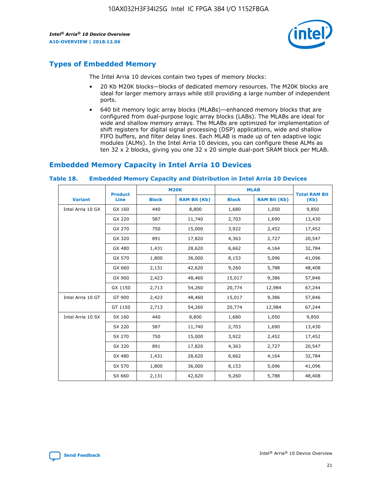

# **Types of Embedded Memory**

The Intel Arria 10 devices contain two types of memory blocks:

- 20 Kb M20K blocks—blocks of dedicated memory resources. The M20K blocks are ideal for larger memory arrays while still providing a large number of independent ports.
- 640 bit memory logic array blocks (MLABs)—enhanced memory blocks that are configured from dual-purpose logic array blocks (LABs). The MLABs are ideal for wide and shallow memory arrays. The MLABs are optimized for implementation of shift registers for digital signal processing (DSP) applications, wide and shallow FIFO buffers, and filter delay lines. Each MLAB is made up of ten adaptive logic modules (ALMs). In the Intel Arria 10 devices, you can configure these ALMs as ten 32 x 2 blocks, giving you one 32 x 20 simple dual-port SRAM block per MLAB.

# **Embedded Memory Capacity in Intel Arria 10 Devices**

|                   | <b>Product</b> |              | <b>M20K</b>         | <b>MLAB</b>  |                     | <b>Total RAM Bit</b> |
|-------------------|----------------|--------------|---------------------|--------------|---------------------|----------------------|
| <b>Variant</b>    | Line           | <b>Block</b> | <b>RAM Bit (Kb)</b> | <b>Block</b> | <b>RAM Bit (Kb)</b> | (Kb)                 |
| Intel Arria 10 GX | GX 160         | 440          | 8,800               | 1,680        | 1,050               | 9,850                |
|                   | GX 220         | 587          | 11,740              | 2,703        | 1,690               | 13,430               |
|                   | GX 270         | 750          | 15,000              | 3,922        | 2,452               | 17,452               |
|                   | GX 320         | 891          | 17,820              | 4,363        | 2,727               | 20,547               |
|                   | GX 480         | 1,431        | 28,620              | 6,662        | 4,164               | 32,784               |
|                   | GX 570         | 1,800        | 36,000              | 8,153        | 5,096               | 41,096               |
|                   | GX 660         | 2,131        | 42,620              | 9,260        | 5,788               | 48,408               |
|                   | GX 900         | 2,423        | 48,460              | 15,017       | 9,386               | 57,846               |
|                   | GX 1150        | 2,713        | 54,260              | 20,774       | 12,984              | 67,244               |
| Intel Arria 10 GT | GT 900         | 2,423        | 48,460              | 15,017       | 9,386               | 57,846               |
|                   | GT 1150        | 2,713        | 54,260              | 20,774       | 12,984              | 67,244               |
| Intel Arria 10 SX | SX 160         | 440          | 8,800               | 1,680        | 1,050               | 9,850                |
|                   | SX 220         | 587          | 11,740              | 2,703        | 1,690               | 13,430               |
|                   | SX 270         | 750          | 15,000              | 3,922        | 2,452               | 17,452               |
|                   | SX 320         | 891          | 17,820              | 4,363        | 2,727               | 20,547               |
|                   | SX 480         | 1,431        | 28,620              | 6,662        | 4,164               | 32,784               |
|                   | SX 570         | 1,800        | 36,000              | 8,153        | 5,096               | 41,096               |
|                   | SX 660         | 2,131        | 42,620              | 9,260        | 5,788               | 48,408               |

#### **Table 18. Embedded Memory Capacity and Distribution in Intel Arria 10 Devices**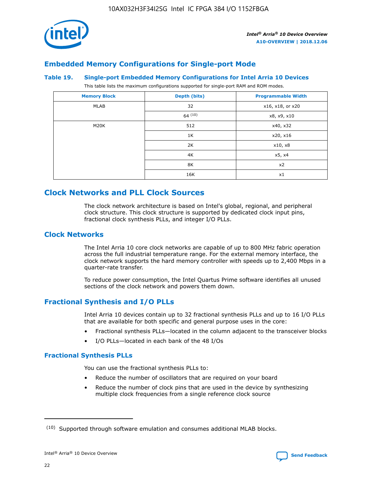

# **Embedded Memory Configurations for Single-port Mode**

#### **Table 19. Single-port Embedded Memory Configurations for Intel Arria 10 Devices**

This table lists the maximum configurations supported for single-port RAM and ROM modes.

| <b>Memory Block</b> | Depth (bits) | <b>Programmable Width</b> |
|---------------------|--------------|---------------------------|
| MLAB                | 32           | x16, x18, or x20          |
|                     | 64(10)       | x8, x9, x10               |
| M20K                | 512          | x40, x32                  |
|                     | 1K           | x20, x16                  |
|                     | 2K           | x10, x8                   |
|                     | 4K           | x5, x4                    |
|                     | 8K           | x2                        |
|                     | 16K          | x1                        |

# **Clock Networks and PLL Clock Sources**

The clock network architecture is based on Intel's global, regional, and peripheral clock structure. This clock structure is supported by dedicated clock input pins, fractional clock synthesis PLLs, and integer I/O PLLs.

#### **Clock Networks**

The Intel Arria 10 core clock networks are capable of up to 800 MHz fabric operation across the full industrial temperature range. For the external memory interface, the clock network supports the hard memory controller with speeds up to 2,400 Mbps in a quarter-rate transfer.

To reduce power consumption, the Intel Quartus Prime software identifies all unused sections of the clock network and powers them down.

#### **Fractional Synthesis and I/O PLLs**

Intel Arria 10 devices contain up to 32 fractional synthesis PLLs and up to 16 I/O PLLs that are available for both specific and general purpose uses in the core:

- Fractional synthesis PLLs—located in the column adjacent to the transceiver blocks
- I/O PLLs—located in each bank of the 48 I/Os

#### **Fractional Synthesis PLLs**

You can use the fractional synthesis PLLs to:

- Reduce the number of oscillators that are required on your board
- Reduce the number of clock pins that are used in the device by synthesizing multiple clock frequencies from a single reference clock source

<sup>(10)</sup> Supported through software emulation and consumes additional MLAB blocks.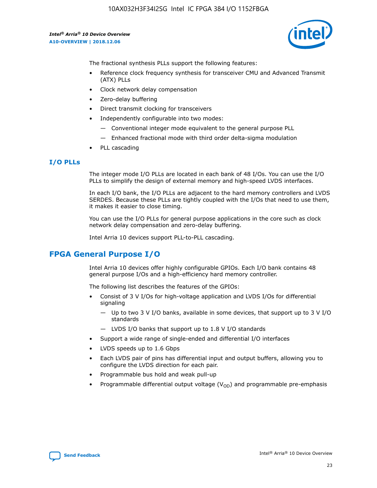

The fractional synthesis PLLs support the following features:

- Reference clock frequency synthesis for transceiver CMU and Advanced Transmit (ATX) PLLs
- Clock network delay compensation
- Zero-delay buffering
- Direct transmit clocking for transceivers
- Independently configurable into two modes:
	- Conventional integer mode equivalent to the general purpose PLL
	- Enhanced fractional mode with third order delta-sigma modulation
- PLL cascading

#### **I/O PLLs**

The integer mode I/O PLLs are located in each bank of 48 I/Os. You can use the I/O PLLs to simplify the design of external memory and high-speed LVDS interfaces.

In each I/O bank, the I/O PLLs are adjacent to the hard memory controllers and LVDS SERDES. Because these PLLs are tightly coupled with the I/Os that need to use them, it makes it easier to close timing.

You can use the I/O PLLs for general purpose applications in the core such as clock network delay compensation and zero-delay buffering.

Intel Arria 10 devices support PLL-to-PLL cascading.

# **FPGA General Purpose I/O**

Intel Arria 10 devices offer highly configurable GPIOs. Each I/O bank contains 48 general purpose I/Os and a high-efficiency hard memory controller.

The following list describes the features of the GPIOs:

- Consist of 3 V I/Os for high-voltage application and LVDS I/Os for differential signaling
	- Up to two 3 V I/O banks, available in some devices, that support up to 3 V I/O standards
	- LVDS I/O banks that support up to 1.8 V I/O standards
- Support a wide range of single-ended and differential I/O interfaces
- LVDS speeds up to 1.6 Gbps
- Each LVDS pair of pins has differential input and output buffers, allowing you to configure the LVDS direction for each pair.
- Programmable bus hold and weak pull-up
- Programmable differential output voltage  $(V_{OD})$  and programmable pre-emphasis

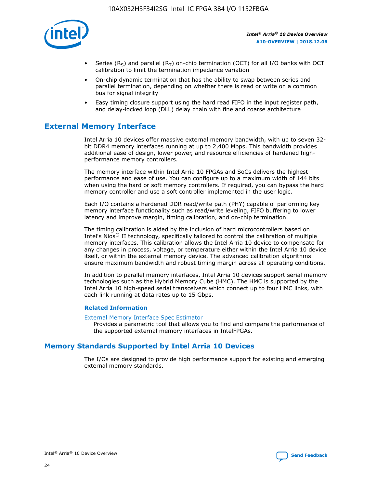

- Series (R<sub>S</sub>) and parallel (R<sub>T</sub>) on-chip termination (OCT) for all I/O banks with OCT calibration to limit the termination impedance variation
- On-chip dynamic termination that has the ability to swap between series and parallel termination, depending on whether there is read or write on a common bus for signal integrity
- Easy timing closure support using the hard read FIFO in the input register path, and delay-locked loop (DLL) delay chain with fine and coarse architecture

# **External Memory Interface**

Intel Arria 10 devices offer massive external memory bandwidth, with up to seven 32 bit DDR4 memory interfaces running at up to 2,400 Mbps. This bandwidth provides additional ease of design, lower power, and resource efficiencies of hardened highperformance memory controllers.

The memory interface within Intel Arria 10 FPGAs and SoCs delivers the highest performance and ease of use. You can configure up to a maximum width of 144 bits when using the hard or soft memory controllers. If required, you can bypass the hard memory controller and use a soft controller implemented in the user logic.

Each I/O contains a hardened DDR read/write path (PHY) capable of performing key memory interface functionality such as read/write leveling, FIFO buffering to lower latency and improve margin, timing calibration, and on-chip termination.

The timing calibration is aided by the inclusion of hard microcontrollers based on Intel's Nios® II technology, specifically tailored to control the calibration of multiple memory interfaces. This calibration allows the Intel Arria 10 device to compensate for any changes in process, voltage, or temperature either within the Intel Arria 10 device itself, or within the external memory device. The advanced calibration algorithms ensure maximum bandwidth and robust timing margin across all operating conditions.

In addition to parallel memory interfaces, Intel Arria 10 devices support serial memory technologies such as the Hybrid Memory Cube (HMC). The HMC is supported by the Intel Arria 10 high-speed serial transceivers which connect up to four HMC links, with each link running at data rates up to 15 Gbps.

#### **Related Information**

#### [External Memory Interface Spec Estimator](http://www.altera.com/technology/memory/estimator/mem-emif-index.html)

Provides a parametric tool that allows you to find and compare the performance of the supported external memory interfaces in IntelFPGAs.

### **Memory Standards Supported by Intel Arria 10 Devices**

The I/Os are designed to provide high performance support for existing and emerging external memory standards.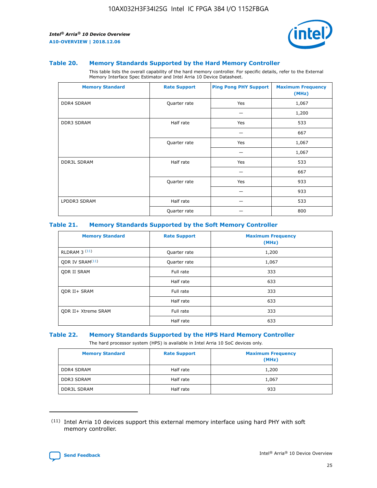

#### **Table 20. Memory Standards Supported by the Hard Memory Controller**

This table lists the overall capability of the hard memory controller. For specific details, refer to the External Memory Interface Spec Estimator and Intel Arria 10 Device Datasheet.

| <b>Memory Standard</b> | <b>Rate Support</b> | <b>Ping Pong PHY Support</b> | <b>Maximum Frequency</b><br>(MHz) |
|------------------------|---------------------|------------------------------|-----------------------------------|
| <b>DDR4 SDRAM</b>      | Quarter rate        | Yes                          | 1,067                             |
|                        |                     |                              | 1,200                             |
| DDR3 SDRAM             | Half rate           | Yes                          | 533                               |
|                        |                     |                              | 667                               |
|                        | Quarter rate        | Yes                          | 1,067                             |
|                        |                     |                              | 1,067                             |
| <b>DDR3L SDRAM</b>     | Half rate           | Yes                          | 533                               |
|                        |                     |                              | 667                               |
|                        | Quarter rate        | Yes                          | 933                               |
|                        |                     |                              | 933                               |
| LPDDR3 SDRAM           | Half rate           |                              | 533                               |
|                        | Quarter rate        |                              | 800                               |

#### **Table 21. Memory Standards Supported by the Soft Memory Controller**

| <b>Memory Standard</b>      | <b>Rate Support</b> | <b>Maximum Frequency</b><br>(MHz) |
|-----------------------------|---------------------|-----------------------------------|
| <b>RLDRAM 3 (11)</b>        | Quarter rate        | 1,200                             |
| ODR IV SRAM <sup>(11)</sup> | Quarter rate        | 1,067                             |
| <b>ODR II SRAM</b>          | Full rate           | 333                               |
|                             | Half rate           | 633                               |
| <b>ODR II+ SRAM</b>         | Full rate           | 333                               |
|                             | Half rate           | 633                               |
| <b>ODR II+ Xtreme SRAM</b>  | Full rate           | 333                               |
|                             | Half rate           | 633                               |

#### **Table 22. Memory Standards Supported by the HPS Hard Memory Controller**

The hard processor system (HPS) is available in Intel Arria 10 SoC devices only.

| <b>Memory Standard</b> | <b>Rate Support</b> | <b>Maximum Frequency</b><br>(MHz) |
|------------------------|---------------------|-----------------------------------|
| <b>DDR4 SDRAM</b>      | Half rate           | 1,200                             |
| <b>DDR3 SDRAM</b>      | Half rate           | 1,067                             |
| <b>DDR3L SDRAM</b>     | Half rate           | 933                               |

<sup>(11)</sup> Intel Arria 10 devices support this external memory interface using hard PHY with soft memory controller.

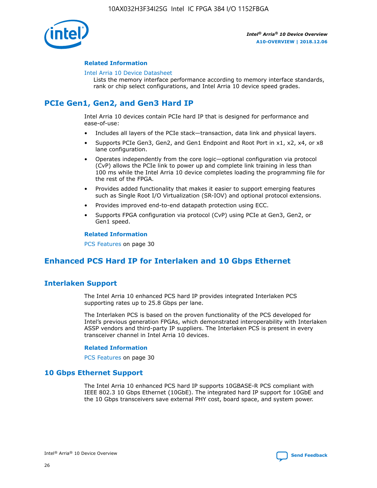

#### **Related Information**

#### [Intel Arria 10 Device Datasheet](https://www.intel.com/content/www/us/en/programmable/documentation/mcn1413182292568.html#mcn1413182153340)

Lists the memory interface performance according to memory interface standards, rank or chip select configurations, and Intel Arria 10 device speed grades.

# **PCIe Gen1, Gen2, and Gen3 Hard IP**

Intel Arria 10 devices contain PCIe hard IP that is designed for performance and ease-of-use:

- Includes all layers of the PCIe stack—transaction, data link and physical layers.
- Supports PCIe Gen3, Gen2, and Gen1 Endpoint and Root Port in x1, x2, x4, or x8 lane configuration.
- Operates independently from the core logic—optional configuration via protocol (CvP) allows the PCIe link to power up and complete link training in less than 100 ms while the Intel Arria 10 device completes loading the programming file for the rest of the FPGA.
- Provides added functionality that makes it easier to support emerging features such as Single Root I/O Virtualization (SR-IOV) and optional protocol extensions.
- Provides improved end-to-end datapath protection using ECC.
- Supports FPGA configuration via protocol (CvP) using PCIe at Gen3, Gen2, or Gen1 speed.

#### **Related Information**

PCS Features on page 30

# **Enhanced PCS Hard IP for Interlaken and 10 Gbps Ethernet**

### **Interlaken Support**

The Intel Arria 10 enhanced PCS hard IP provides integrated Interlaken PCS supporting rates up to 25.8 Gbps per lane.

The Interlaken PCS is based on the proven functionality of the PCS developed for Intel's previous generation FPGAs, which demonstrated interoperability with Interlaken ASSP vendors and third-party IP suppliers. The Interlaken PCS is present in every transceiver channel in Intel Arria 10 devices.

#### **Related Information**

PCS Features on page 30

#### **10 Gbps Ethernet Support**

The Intel Arria 10 enhanced PCS hard IP supports 10GBASE-R PCS compliant with IEEE 802.3 10 Gbps Ethernet (10GbE). The integrated hard IP support for 10GbE and the 10 Gbps transceivers save external PHY cost, board space, and system power.

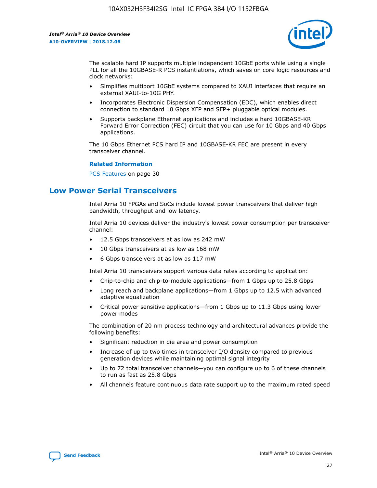

The scalable hard IP supports multiple independent 10GbE ports while using a single PLL for all the 10GBASE-R PCS instantiations, which saves on core logic resources and clock networks:

- Simplifies multiport 10GbE systems compared to XAUI interfaces that require an external XAUI-to-10G PHY.
- Incorporates Electronic Dispersion Compensation (EDC), which enables direct connection to standard 10 Gbps XFP and SFP+ pluggable optical modules.
- Supports backplane Ethernet applications and includes a hard 10GBASE-KR Forward Error Correction (FEC) circuit that you can use for 10 Gbps and 40 Gbps applications.

The 10 Gbps Ethernet PCS hard IP and 10GBASE-KR FEC are present in every transceiver channel.

#### **Related Information**

PCS Features on page 30

# **Low Power Serial Transceivers**

Intel Arria 10 FPGAs and SoCs include lowest power transceivers that deliver high bandwidth, throughput and low latency.

Intel Arria 10 devices deliver the industry's lowest power consumption per transceiver channel:

- 12.5 Gbps transceivers at as low as 242 mW
- 10 Gbps transceivers at as low as 168 mW
- 6 Gbps transceivers at as low as 117 mW

Intel Arria 10 transceivers support various data rates according to application:

- Chip-to-chip and chip-to-module applications—from 1 Gbps up to 25.8 Gbps
- Long reach and backplane applications—from 1 Gbps up to 12.5 with advanced adaptive equalization
- Critical power sensitive applications—from 1 Gbps up to 11.3 Gbps using lower power modes

The combination of 20 nm process technology and architectural advances provide the following benefits:

- Significant reduction in die area and power consumption
- Increase of up to two times in transceiver I/O density compared to previous generation devices while maintaining optimal signal integrity
- Up to 72 total transceiver channels—you can configure up to 6 of these channels to run as fast as 25.8 Gbps
- All channels feature continuous data rate support up to the maximum rated speed

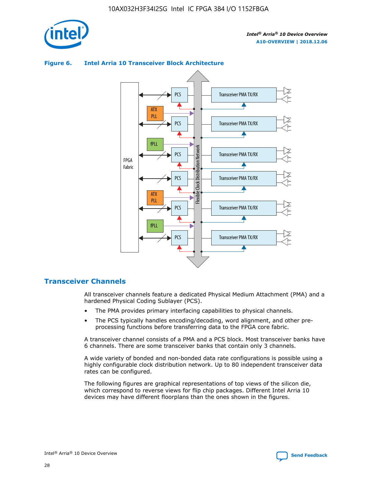





### **Transceiver Channels**

All transceiver channels feature a dedicated Physical Medium Attachment (PMA) and a hardened Physical Coding Sublayer (PCS).

- The PMA provides primary interfacing capabilities to physical channels.
- The PCS typically handles encoding/decoding, word alignment, and other preprocessing functions before transferring data to the FPGA core fabric.

A transceiver channel consists of a PMA and a PCS block. Most transceiver banks have 6 channels. There are some transceiver banks that contain only 3 channels.

A wide variety of bonded and non-bonded data rate configurations is possible using a highly configurable clock distribution network. Up to 80 independent transceiver data rates can be configured.

The following figures are graphical representations of top views of the silicon die, which correspond to reverse views for flip chip packages. Different Intel Arria 10 devices may have different floorplans than the ones shown in the figures.

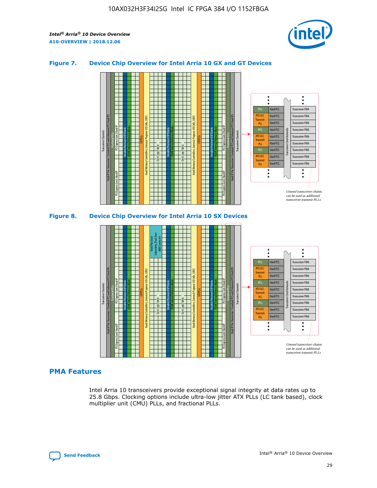

#### **Figure 7. Device Chip Overview for Intel Arria 10 GX and GT Devices**





#### **PMA Features**

Intel Arria 10 transceivers provide exceptional signal integrity at data rates up to 25.8 Gbps. Clocking options include ultra-low jitter ATX PLLs (LC tank based), clock multiplier unit (CMU) PLLs, and fractional PLLs.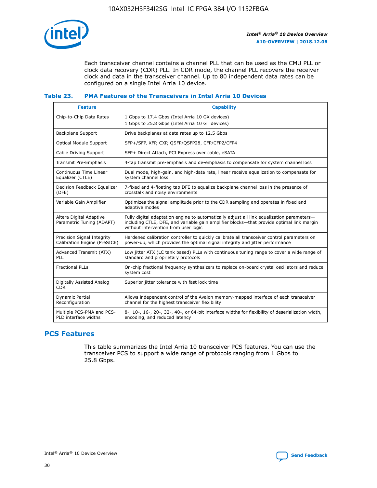

Each transceiver channel contains a channel PLL that can be used as the CMU PLL or clock data recovery (CDR) PLL. In CDR mode, the channel PLL recovers the receiver clock and data in the transceiver channel. Up to 80 independent data rates can be configured on a single Intel Arria 10 device.

#### **Table 23. PMA Features of the Transceivers in Intel Arria 10 Devices**

| <b>Feature</b>                                             | <b>Capability</b>                                                                                                                                                                                                             |
|------------------------------------------------------------|-------------------------------------------------------------------------------------------------------------------------------------------------------------------------------------------------------------------------------|
| Chip-to-Chip Data Rates                                    | 1 Gbps to 17.4 Gbps (Intel Arria 10 GX devices)<br>1 Gbps to 25.8 Gbps (Intel Arria 10 GT devices)                                                                                                                            |
| <b>Backplane Support</b>                                   | Drive backplanes at data rates up to 12.5 Gbps                                                                                                                                                                                |
| <b>Optical Module Support</b>                              | SFP+/SFP, XFP, CXP, QSFP/QSFP28, CFP/CFP2/CFP4                                                                                                                                                                                |
| Cable Driving Support                                      | SFP+ Direct Attach, PCI Express over cable, eSATA                                                                                                                                                                             |
| Transmit Pre-Emphasis                                      | 4-tap transmit pre-emphasis and de-emphasis to compensate for system channel loss                                                                                                                                             |
| Continuous Time Linear<br>Equalizer (CTLE)                 | Dual mode, high-gain, and high-data rate, linear receive equalization to compensate for<br>system channel loss                                                                                                                |
| Decision Feedback Equalizer<br>(DFE)                       | 7-fixed and 4-floating tap DFE to equalize backplane channel loss in the presence of<br>crosstalk and noisy environments                                                                                                      |
| Variable Gain Amplifier                                    | Optimizes the signal amplitude prior to the CDR sampling and operates in fixed and<br>adaptive modes                                                                                                                          |
| Altera Digital Adaptive<br>Parametric Tuning (ADAPT)       | Fully digital adaptation engine to automatically adjust all link equalization parameters-<br>including CTLE, DFE, and variable gain amplifier blocks—that provide optimal link margin<br>without intervention from user logic |
| Precision Signal Integrity<br>Calibration Engine (PreSICE) | Hardened calibration controller to quickly calibrate all transceiver control parameters on<br>power-up, which provides the optimal signal integrity and jitter performance                                                    |
| Advanced Transmit (ATX)<br><b>PLL</b>                      | Low jitter ATX (LC tank based) PLLs with continuous tuning range to cover a wide range of<br>standard and proprietary protocols                                                                                               |
| <b>Fractional PLLs</b>                                     | On-chip fractional frequency synthesizers to replace on-board crystal oscillators and reduce<br>system cost                                                                                                                   |
| Digitally Assisted Analog<br><b>CDR</b>                    | Superior jitter tolerance with fast lock time                                                                                                                                                                                 |
| <b>Dynamic Partial</b><br>Reconfiguration                  | Allows independent control of the Avalon memory-mapped interface of each transceiver<br>channel for the highest transceiver flexibility                                                                                       |
| Multiple PCS-PMA and PCS-<br>PLD interface widths          | 8-, 10-, 16-, 20-, 32-, 40-, or 64-bit interface widths for flexibility of deserialization width,<br>encoding, and reduced latency                                                                                            |

### **PCS Features**

This table summarizes the Intel Arria 10 transceiver PCS features. You can use the transceiver PCS to support a wide range of protocols ranging from 1 Gbps to 25.8 Gbps.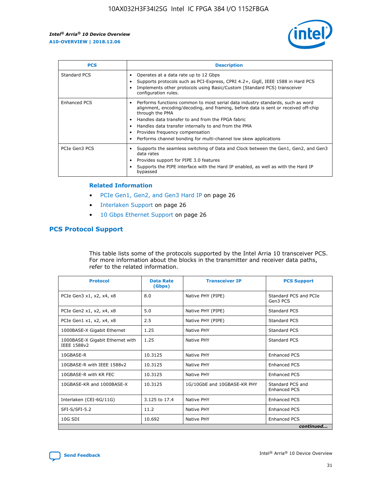

| <b>PCS</b>    | <b>Description</b>                                                                                                                                                                                                                                                                                                                                                                                                          |
|---------------|-----------------------------------------------------------------------------------------------------------------------------------------------------------------------------------------------------------------------------------------------------------------------------------------------------------------------------------------------------------------------------------------------------------------------------|
| Standard PCS  | Operates at a data rate up to 12 Gbps<br>Supports protocols such as PCI-Express, CPRI 4.2+, GigE, IEEE 1588 in Hard PCS<br>Implements other protocols using Basic/Custom (Standard PCS) transceiver<br>configuration rules.                                                                                                                                                                                                 |
| Enhanced PCS  | Performs functions common to most serial data industry standards, such as word<br>$\bullet$<br>alignment, encoding/decoding, and framing, before data is sent or received off-chip<br>through the PMA<br>• Handles data transfer to and from the FPGA fabric<br>Handles data transfer internally to and from the PMA<br>Provides frequency compensation<br>Performs channel bonding for multi-channel low skew applications |
| PCIe Gen3 PCS | Supports the seamless switching of Data and Clock between the Gen1, Gen2, and Gen3<br>data rates<br>Provides support for PIPE 3.0 features<br>Supports the PIPE interface with the Hard IP enabled, as well as with the Hard IP<br>bypassed                                                                                                                                                                                 |

#### **Related Information**

- PCIe Gen1, Gen2, and Gen3 Hard IP on page 26
- Interlaken Support on page 26
- 10 Gbps Ethernet Support on page 26

#### **PCS Protocol Support**

This table lists some of the protocols supported by the Intel Arria 10 transceiver PCS. For more information about the blocks in the transmitter and receiver data paths, refer to the related information.

| <b>Protocol</b>                                 | <b>Data Rate</b><br>(Gbps) | <b>Transceiver IP</b>       | <b>PCS Support</b>                      |
|-------------------------------------------------|----------------------------|-----------------------------|-----------------------------------------|
| PCIe Gen3 x1, x2, x4, x8                        | 8.0                        | Native PHY (PIPE)           | Standard PCS and PCIe<br>Gen3 PCS       |
| PCIe Gen2 x1, x2, x4, x8                        | 5.0                        | Native PHY (PIPE)           | <b>Standard PCS</b>                     |
| PCIe Gen1 x1, x2, x4, x8                        | 2.5                        | Native PHY (PIPE)           | Standard PCS                            |
| 1000BASE-X Gigabit Ethernet                     | 1.25                       | Native PHY                  | <b>Standard PCS</b>                     |
| 1000BASE-X Gigabit Ethernet with<br>IEEE 1588v2 | 1.25                       | Native PHY                  | Standard PCS                            |
| 10GBASE-R                                       | 10.3125                    | Native PHY                  | <b>Enhanced PCS</b>                     |
| 10GBASE-R with IEEE 1588v2                      | 10.3125                    | Native PHY                  | <b>Enhanced PCS</b>                     |
| 10GBASE-R with KR FEC                           | 10.3125                    | Native PHY                  | <b>Enhanced PCS</b>                     |
| 10GBASE-KR and 1000BASE-X                       | 10.3125                    | 1G/10GbE and 10GBASE-KR PHY | Standard PCS and<br><b>Enhanced PCS</b> |
| Interlaken (CEI-6G/11G)                         | 3.125 to 17.4              | Native PHY                  | <b>Enhanced PCS</b>                     |
| SFI-S/SFI-5.2                                   | 11.2                       | Native PHY                  | <b>Enhanced PCS</b>                     |
| $10G$ SDI                                       | 10.692                     | Native PHY                  | <b>Enhanced PCS</b>                     |
|                                                 |                            |                             | continued                               |

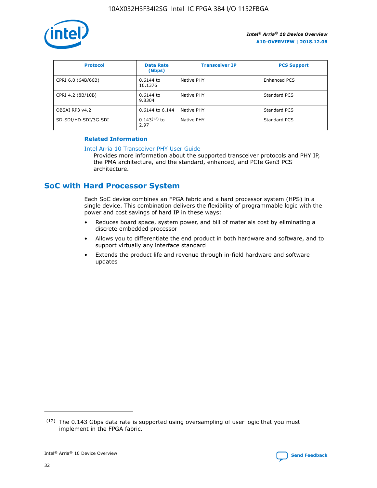

| <b>Protocol</b>      | <b>Data Rate</b><br>(Gbps) | <b>Transceiver IP</b> | <b>PCS Support</b> |
|----------------------|----------------------------|-----------------------|--------------------|
| CPRI 6.0 (64B/66B)   | 0.6144 to<br>10.1376       | Native PHY            | Enhanced PCS       |
| CPRI 4.2 (8B/10B)    | 0.6144 to<br>9.8304        | Native PHY            | Standard PCS       |
| OBSAI RP3 v4.2       | 0.6144 to 6.144            | Native PHY            | Standard PCS       |
| SD-SDI/HD-SDI/3G-SDI | $0.143(12)$ to<br>2.97     | Native PHY            | Standard PCS       |

#### **Related Information**

#### [Intel Arria 10 Transceiver PHY User Guide](https://www.intel.com/content/www/us/en/programmable/documentation/nik1398707230472.html#nik1398707091164)

Provides more information about the supported transceiver protocols and PHY IP, the PMA architecture, and the standard, enhanced, and PCIe Gen3 PCS architecture.

# **SoC with Hard Processor System**

Each SoC device combines an FPGA fabric and a hard processor system (HPS) in a single device. This combination delivers the flexibility of programmable logic with the power and cost savings of hard IP in these ways:

- Reduces board space, system power, and bill of materials cost by eliminating a discrete embedded processor
- Allows you to differentiate the end product in both hardware and software, and to support virtually any interface standard
- Extends the product life and revenue through in-field hardware and software updates

 $(12)$  The 0.143 Gbps data rate is supported using oversampling of user logic that you must implement in the FPGA fabric.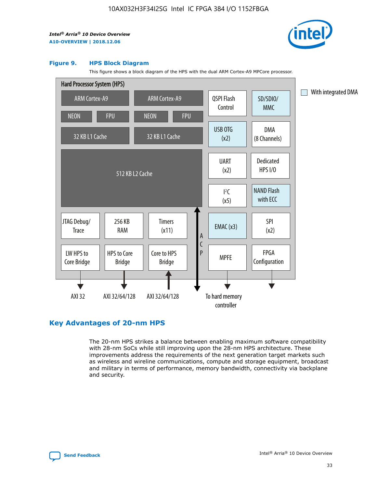

#### **Figure 9. HPS Block Diagram**

This figure shows a block diagram of the HPS with the dual ARM Cortex-A9 MPCore processor.



#### **Key Advantages of 20-nm HPS**

The 20-nm HPS strikes a balance between enabling maximum software compatibility with 28-nm SoCs while still improving upon the 28-nm HPS architecture. These improvements address the requirements of the next generation target markets such as wireless and wireline communications, compute and storage equipment, broadcast and military in terms of performance, memory bandwidth, connectivity via backplane and security.

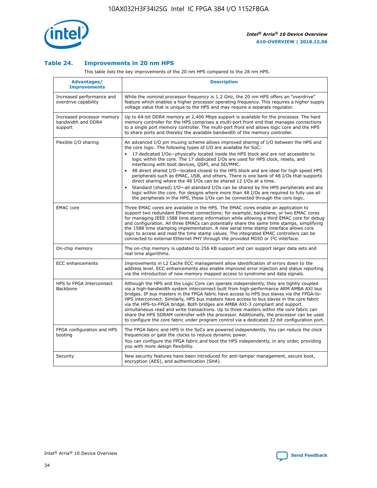

#### **Table 24. Improvements in 20 nm HPS**

This table lists the key improvements of the 20 nm HPS compared to the 28 nm HPS.

| Advantages/<br><b>Improvements</b>                          | <b>Description</b>                                                                                                                                                                                                                                                                                                                                                                                                                                                                                                                                                                                                                                                                                                                                                                                                                                                                                                      |
|-------------------------------------------------------------|-------------------------------------------------------------------------------------------------------------------------------------------------------------------------------------------------------------------------------------------------------------------------------------------------------------------------------------------------------------------------------------------------------------------------------------------------------------------------------------------------------------------------------------------------------------------------------------------------------------------------------------------------------------------------------------------------------------------------------------------------------------------------------------------------------------------------------------------------------------------------------------------------------------------------|
| Increased performance and<br>overdrive capability           | While the nominal processor frequency is 1.2 GHz, the 20 nm HPS offers an "overdrive"<br>feature which enables a higher processor operating frequency. This requires a higher supply<br>voltage value that is unique to the HPS and may require a separate regulator.                                                                                                                                                                                                                                                                                                                                                                                                                                                                                                                                                                                                                                                   |
| Increased processor memory<br>bandwidth and DDR4<br>support | Up to 64-bit DDR4 memory at 2,400 Mbps support is available for the processor. The hard<br>memory controller for the HPS comprises a multi-port front end that manages connections<br>to a single port memory controller. The multi-port front end allows logic core and the HPS<br>to share ports and thereby the available bandwidth of the memory controller.                                                                                                                                                                                                                                                                                                                                                                                                                                                                                                                                                        |
| Flexible I/O sharing                                        | An advanced I/O pin muxing scheme allows improved sharing of I/O between the HPS and<br>the core logic. The following types of I/O are available for SoC:<br>17 dedicated I/Os-physically located inside the HPS block and are not accessible to<br>logic within the core. The 17 dedicated I/Os are used for HPS clock, resets, and<br>interfacing with boot devices, QSPI, and SD/MMC.<br>48 direct shared I/O-located closest to the HPS block and are ideal for high speed HPS<br>peripherals such as EMAC, USB, and others. There is one bank of 48 I/Os that supports<br>direct sharing where the 48 I/Os can be shared 12 I/Os at a time.<br>Standard (shared) I/O-all standard I/Os can be shared by the HPS peripherals and any<br>logic within the core. For designs where more than 48 I/Os are reguired to fully use all<br>the peripherals in the HPS, these I/Os can be connected through the core logic. |
| <b>EMAC</b> core                                            | Three EMAC cores are available in the HPS. The EMAC cores enable an application to<br>support two redundant Ethernet connections; for example, backplane, or two EMAC cores<br>for managing IEEE 1588 time stamp information while allowing a third EMAC core for debug<br>and configuration. All three EMACs can potentially share the same time stamps, simplifying<br>the 1588 time stamping implementation. A new serial time stamp interface allows core<br>logic to access and read the time stamp values. The integrated EMAC controllers can be<br>connected to external Ethernet PHY through the provided MDIO or I <sup>2</sup> C interface.                                                                                                                                                                                                                                                                  |
| On-chip memory                                              | The on-chip memory is updated to 256 KB support and can support larger data sets and<br>real time algorithms.                                                                                                                                                                                                                                                                                                                                                                                                                                                                                                                                                                                                                                                                                                                                                                                                           |
| <b>ECC</b> enhancements                                     | Improvements in L2 Cache ECC management allow identification of errors down to the<br>address level. ECC enhancements also enable improved error injection and status reporting<br>via the introduction of new memory mapped access to syndrome and data signals.                                                                                                                                                                                                                                                                                                                                                                                                                                                                                                                                                                                                                                                       |
| HPS to FPGA Interconnect<br>Backbone                        | Although the HPS and the Logic Core can operate independently, they are tightly coupled<br>via a high-bandwidth system interconnect built from high-performance ARM AMBA AXI bus<br>bridges. IP bus masters in the FPGA fabric have access to HPS bus slaves via the FPGA-to-<br>HPS interconnect. Similarly, HPS bus masters have access to bus slaves in the core fabric<br>via the HPS-to-FPGA bridge. Both bridges are AMBA AXI-3 compliant and support<br>simultaneous read and write transactions. Up to three masters within the core fabric can<br>share the HPS SDRAM controller with the processor. Additionally, the processor can be used<br>to configure the core fabric under program control via a dedicated 32-bit configuration port.                                                                                                                                                                  |
| FPGA configuration and HPS<br>booting                       | The FPGA fabric and HPS in the SoCs are powered independently. You can reduce the clock<br>frequencies or gate the clocks to reduce dynamic power.<br>You can configure the FPGA fabric and boot the HPS independently, in any order, providing<br>you with more design flexibility.                                                                                                                                                                                                                                                                                                                                                                                                                                                                                                                                                                                                                                    |
| Security                                                    | New security features have been introduced for anti-tamper management, secure boot,<br>encryption (AES), and authentication (SHA).                                                                                                                                                                                                                                                                                                                                                                                                                                                                                                                                                                                                                                                                                                                                                                                      |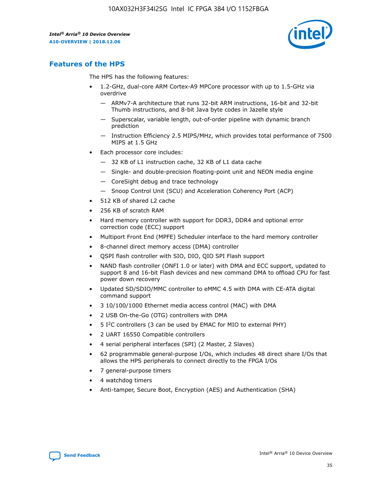

# **Features of the HPS**

The HPS has the following features:

- 1.2-GHz, dual-core ARM Cortex-A9 MPCore processor with up to 1.5-GHz via overdrive
	- ARMv7-A architecture that runs 32-bit ARM instructions, 16-bit and 32-bit Thumb instructions, and 8-bit Java byte codes in Jazelle style
	- Superscalar, variable length, out-of-order pipeline with dynamic branch prediction
	- Instruction Efficiency 2.5 MIPS/MHz, which provides total performance of 7500 MIPS at 1.5 GHz
- Each processor core includes:
	- 32 KB of L1 instruction cache, 32 KB of L1 data cache
	- Single- and double-precision floating-point unit and NEON media engine
	- CoreSight debug and trace technology
	- Snoop Control Unit (SCU) and Acceleration Coherency Port (ACP)
- 512 KB of shared L2 cache
- 256 KB of scratch RAM
- Hard memory controller with support for DDR3, DDR4 and optional error correction code (ECC) support
- Multiport Front End (MPFE) Scheduler interface to the hard memory controller
- 8-channel direct memory access (DMA) controller
- QSPI flash controller with SIO, DIO, QIO SPI Flash support
- NAND flash controller (ONFI 1.0 or later) with DMA and ECC support, updated to support 8 and 16-bit Flash devices and new command DMA to offload CPU for fast power down recovery
- Updated SD/SDIO/MMC controller to eMMC 4.5 with DMA with CE-ATA digital command support
- 3 10/100/1000 Ethernet media access control (MAC) with DMA
- 2 USB On-the-Go (OTG) controllers with DMA
- $\bullet$  5 I<sup>2</sup>C controllers (3 can be used by EMAC for MIO to external PHY)
- 2 UART 16550 Compatible controllers
- 4 serial peripheral interfaces (SPI) (2 Master, 2 Slaves)
- 62 programmable general-purpose I/Os, which includes 48 direct share I/Os that allows the HPS peripherals to connect directly to the FPGA I/Os
- 7 general-purpose timers
- 4 watchdog timers
- Anti-tamper, Secure Boot, Encryption (AES) and Authentication (SHA)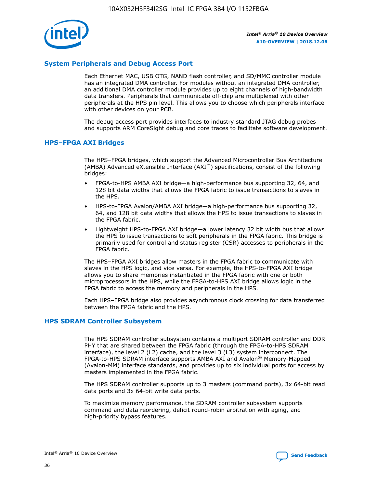

#### **System Peripherals and Debug Access Port**

Each Ethernet MAC, USB OTG, NAND flash controller, and SD/MMC controller module has an integrated DMA controller. For modules without an integrated DMA controller, an additional DMA controller module provides up to eight channels of high-bandwidth data transfers. Peripherals that communicate off-chip are multiplexed with other peripherals at the HPS pin level. This allows you to choose which peripherals interface with other devices on your PCB.

The debug access port provides interfaces to industry standard JTAG debug probes and supports ARM CoreSight debug and core traces to facilitate software development.

#### **HPS–FPGA AXI Bridges**

The HPS–FPGA bridges, which support the Advanced Microcontroller Bus Architecture (AMBA) Advanced eXtensible Interface (AXI™) specifications, consist of the following bridges:

- FPGA-to-HPS AMBA AXI bridge—a high-performance bus supporting 32, 64, and 128 bit data widths that allows the FPGA fabric to issue transactions to slaves in the HPS.
- HPS-to-FPGA Avalon/AMBA AXI bridge—a high-performance bus supporting 32, 64, and 128 bit data widths that allows the HPS to issue transactions to slaves in the FPGA fabric.
- Lightweight HPS-to-FPGA AXI bridge—a lower latency 32 bit width bus that allows the HPS to issue transactions to soft peripherals in the FPGA fabric. This bridge is primarily used for control and status register (CSR) accesses to peripherals in the FPGA fabric.

The HPS–FPGA AXI bridges allow masters in the FPGA fabric to communicate with slaves in the HPS logic, and vice versa. For example, the HPS-to-FPGA AXI bridge allows you to share memories instantiated in the FPGA fabric with one or both microprocessors in the HPS, while the FPGA-to-HPS AXI bridge allows logic in the FPGA fabric to access the memory and peripherals in the HPS.

Each HPS–FPGA bridge also provides asynchronous clock crossing for data transferred between the FPGA fabric and the HPS.

#### **HPS SDRAM Controller Subsystem**

The HPS SDRAM controller subsystem contains a multiport SDRAM controller and DDR PHY that are shared between the FPGA fabric (through the FPGA-to-HPS SDRAM interface), the level 2 (L2) cache, and the level 3 (L3) system interconnect. The FPGA-to-HPS SDRAM interface supports AMBA AXI and Avalon® Memory-Mapped (Avalon-MM) interface standards, and provides up to six individual ports for access by masters implemented in the FPGA fabric.

The HPS SDRAM controller supports up to 3 masters (command ports), 3x 64-bit read data ports and 3x 64-bit write data ports.

To maximize memory performance, the SDRAM controller subsystem supports command and data reordering, deficit round-robin arbitration with aging, and high-priority bypass features.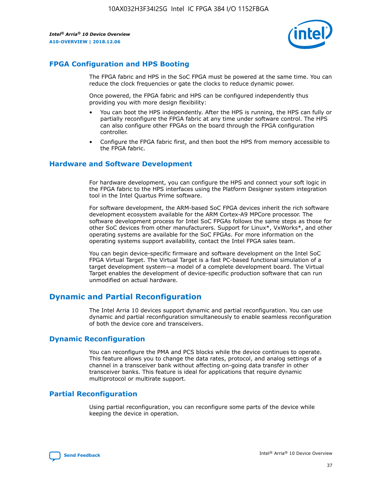

#### **FPGA Configuration and HPS Booting**

The FPGA fabric and HPS in the SoC FPGA must be powered at the same time. You can reduce the clock frequencies or gate the clocks to reduce dynamic power.

Once powered, the FPGA fabric and HPS can be configured independently thus providing you with more design flexibility:

- You can boot the HPS independently. After the HPS is running, the HPS can fully or partially reconfigure the FPGA fabric at any time under software control. The HPS can also configure other FPGAs on the board through the FPGA configuration controller.
- Configure the FPGA fabric first, and then boot the HPS from memory accessible to the FPGA fabric.

#### **Hardware and Software Development**

For hardware development, you can configure the HPS and connect your soft logic in the FPGA fabric to the HPS interfaces using the Platform Designer system integration tool in the Intel Quartus Prime software.

For software development, the ARM-based SoC FPGA devices inherit the rich software development ecosystem available for the ARM Cortex-A9 MPCore processor. The software development process for Intel SoC FPGAs follows the same steps as those for other SoC devices from other manufacturers. Support for Linux\*, VxWorks\*, and other operating systems are available for the SoC FPGAs. For more information on the operating systems support availability, contact the Intel FPGA sales team.

You can begin device-specific firmware and software development on the Intel SoC FPGA Virtual Target. The Virtual Target is a fast PC-based functional simulation of a target development system—a model of a complete development board. The Virtual Target enables the development of device-specific production software that can run unmodified on actual hardware.

### **Dynamic and Partial Reconfiguration**

The Intel Arria 10 devices support dynamic and partial reconfiguration. You can use dynamic and partial reconfiguration simultaneously to enable seamless reconfiguration of both the device core and transceivers.

#### **Dynamic Reconfiguration**

You can reconfigure the PMA and PCS blocks while the device continues to operate. This feature allows you to change the data rates, protocol, and analog settings of a channel in a transceiver bank without affecting on-going data transfer in other transceiver banks. This feature is ideal for applications that require dynamic multiprotocol or multirate support.

### **Partial Reconfiguration**

Using partial reconfiguration, you can reconfigure some parts of the device while keeping the device in operation.

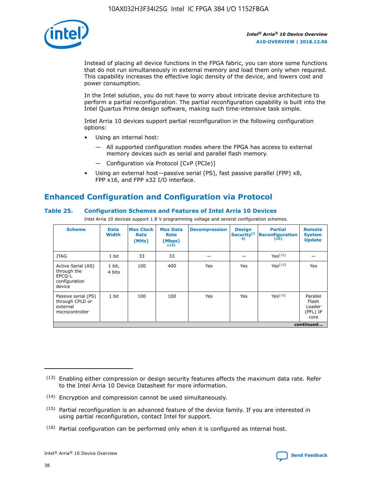

Instead of placing all device functions in the FPGA fabric, you can store some functions that do not run simultaneously in external memory and load them only when required. This capability increases the effective logic density of the device, and lowers cost and power consumption.

In the Intel solution, you do not have to worry about intricate device architecture to perform a partial reconfiguration. The partial reconfiguration capability is built into the Intel Quartus Prime design software, making such time-intensive task simple.

Intel Arria 10 devices support partial reconfiguration in the following configuration options:

- Using an internal host:
	- All supported configuration modes where the FPGA has access to external memory devices such as serial and parallel flash memory.
	- Configuration via Protocol [CvP (PCIe)]
- Using an external host—passive serial (PS), fast passive parallel (FPP) x8, FPP x16, and FPP x32 I/O interface.

# **Enhanced Configuration and Configuration via Protocol**

#### **Table 25. Configuration Schemes and Features of Intel Arria 10 Devices**

Intel Arria 10 devices support 1.8 V programming voltage and several configuration schemes.

| <b>Scheme</b>                                                          | <b>Data</b><br><b>Width</b> | <b>Max Clock</b><br>Rate<br>(MHz) | <b>Max Data</b><br>Rate<br>(Mbps)<br>(13) | <b>Decompression</b> | <b>Design</b><br>Security <sup>(1</sup><br>4) | <b>Partial</b><br>Reconfiguration<br>(15) | <b>Remote</b><br><b>System</b><br><b>Update</b> |
|------------------------------------------------------------------------|-----------------------------|-----------------------------------|-------------------------------------------|----------------------|-----------------------------------------------|-------------------------------------------|-------------------------------------------------|
| <b>JTAG</b>                                                            | 1 bit                       | 33                                | 33                                        |                      |                                               | Yes(16)                                   |                                                 |
| Active Serial (AS)<br>through the<br>EPCO-L<br>configuration<br>device | 1 bit,<br>4 bits            | 100                               | 400                                       | Yes                  | Yes                                           | Yes(16)                                   | Yes                                             |
| Passive serial (PS)<br>through CPLD or<br>external<br>microcontroller  | 1 bit                       | 100                               | 100                                       | Yes                  | Yes                                           | Yes <sup>(16)</sup>                       | Parallel<br>Flash<br>Loader<br>(PFL) IP<br>core |
|                                                                        | continued                   |                                   |                                           |                      |                                               |                                           |                                                 |

<sup>(13)</sup> Enabling either compression or design security features affects the maximum data rate. Refer to the Intel Arria 10 Device Datasheet for more information.

<sup>(14)</sup> Encryption and compression cannot be used simultaneously.

 $(15)$  Partial reconfiguration is an advanced feature of the device family. If you are interested in using partial reconfiguration, contact Intel for support.

 $(16)$  Partial configuration can be performed only when it is configured as internal host.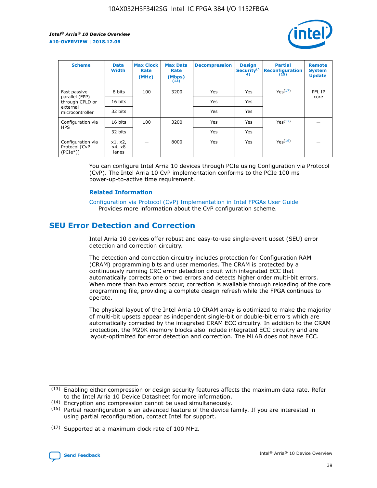

| <b>Scheme</b>                                   | <b>Data</b><br><b>Width</b> | <b>Max Clock</b><br>Rate<br>(MHz) | <b>Max Data</b><br>Rate<br>(Mbps)<br>(13) | <b>Decompression</b> | <b>Design</b><br>Security <sup>(1</sup><br>4) | <b>Partial</b><br><b>Reconfiguration</b><br>(15) | <b>Remote</b><br><b>System</b><br><b>Update</b> |
|-------------------------------------------------|-----------------------------|-----------------------------------|-------------------------------------------|----------------------|-----------------------------------------------|--------------------------------------------------|-------------------------------------------------|
| Fast passive                                    | 8 bits                      | 100                               | 3200                                      | Yes                  | Yes                                           | Yes(17)                                          | PFL IP                                          |
| parallel (FPP)<br>through CPLD or               | 16 bits                     |                                   |                                           | Yes                  | Yes                                           |                                                  | core                                            |
| external<br>microcontroller                     | 32 bits                     |                                   |                                           | Yes                  | Yes                                           |                                                  |                                                 |
| Configuration via                               | 16 bits                     | 100                               | 3200                                      | Yes                  | Yes                                           | Yes <sup>(17)</sup>                              |                                                 |
| <b>HPS</b>                                      | 32 bits                     |                                   |                                           | Yes                  | Yes                                           |                                                  |                                                 |
| Configuration via<br>Protocol [CvP<br>$(PCIe*)$ | x1, x2,<br>x4, x8<br>lanes  |                                   | 8000                                      | Yes                  | Yes                                           | Yes <sup>(16)</sup>                              |                                                 |

You can configure Intel Arria 10 devices through PCIe using Configuration via Protocol (CvP). The Intel Arria 10 CvP implementation conforms to the PCIe 100 ms power-up-to-active time requirement.

#### **Related Information**

[Configuration via Protocol \(CvP\) Implementation in Intel FPGAs User Guide](https://www.intel.com/content/www/us/en/programmable/documentation/dsu1441819344145.html#dsu1442269728522) Provides more information about the CvP configuration scheme.

# **SEU Error Detection and Correction**

Intel Arria 10 devices offer robust and easy-to-use single-event upset (SEU) error detection and correction circuitry.

The detection and correction circuitry includes protection for Configuration RAM (CRAM) programming bits and user memories. The CRAM is protected by a continuously running CRC error detection circuit with integrated ECC that automatically corrects one or two errors and detects higher order multi-bit errors. When more than two errors occur, correction is available through reloading of the core programming file, providing a complete design refresh while the FPGA continues to operate.

The physical layout of the Intel Arria 10 CRAM array is optimized to make the majority of multi-bit upsets appear as independent single-bit or double-bit errors which are automatically corrected by the integrated CRAM ECC circuitry. In addition to the CRAM protection, the M20K memory blocks also include integrated ECC circuitry and are layout-optimized for error detection and correction. The MLAB does not have ECC.

(14) Encryption and compression cannot be used simultaneously.

<sup>(17)</sup> Supported at a maximum clock rate of 100 MHz.



 $(13)$  Enabling either compression or design security features affects the maximum data rate. Refer to the Intel Arria 10 Device Datasheet for more information.

 $(15)$  Partial reconfiguration is an advanced feature of the device family. If you are interested in using partial reconfiguration, contact Intel for support.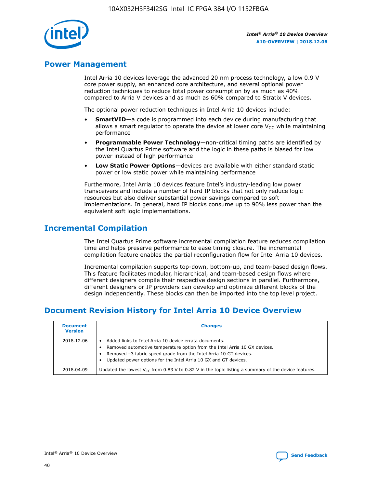

# **Power Management**

Intel Arria 10 devices leverage the advanced 20 nm process technology, a low 0.9 V core power supply, an enhanced core architecture, and several optional power reduction techniques to reduce total power consumption by as much as 40% compared to Arria V devices and as much as 60% compared to Stratix V devices.

The optional power reduction techniques in Intel Arria 10 devices include:

- **SmartVID**—a code is programmed into each device during manufacturing that allows a smart regulator to operate the device at lower core  $V_{CC}$  while maintaining performance
- **Programmable Power Technology**—non-critical timing paths are identified by the Intel Quartus Prime software and the logic in these paths is biased for low power instead of high performance
- **Low Static Power Options**—devices are available with either standard static power or low static power while maintaining performance

Furthermore, Intel Arria 10 devices feature Intel's industry-leading low power transceivers and include a number of hard IP blocks that not only reduce logic resources but also deliver substantial power savings compared to soft implementations. In general, hard IP blocks consume up to 90% less power than the equivalent soft logic implementations.

# **Incremental Compilation**

The Intel Quartus Prime software incremental compilation feature reduces compilation time and helps preserve performance to ease timing closure. The incremental compilation feature enables the partial reconfiguration flow for Intel Arria 10 devices.

Incremental compilation supports top-down, bottom-up, and team-based design flows. This feature facilitates modular, hierarchical, and team-based design flows where different designers compile their respective design sections in parallel. Furthermore, different designers or IP providers can develop and optimize different blocks of the design independently. These blocks can then be imported into the top level project.

# **Document Revision History for Intel Arria 10 Device Overview**

| <b>Document</b><br><b>Version</b> | <b>Changes</b>                                                                                                                                                                                                                                                              |
|-----------------------------------|-----------------------------------------------------------------------------------------------------------------------------------------------------------------------------------------------------------------------------------------------------------------------------|
| 2018.12.06                        | Added links to Intel Arria 10 device errata documents.<br>Removed automotive temperature option from the Intel Arria 10 GX devices.<br>Removed -3 fabric speed grade from the Intel Arria 10 GT devices.<br>Updated power options for the Intel Arria 10 GX and GT devices. |
| 2018.04.09                        | Updated the lowest $V_{CC}$ from 0.83 V to 0.82 V in the topic listing a summary of the device features.                                                                                                                                                                    |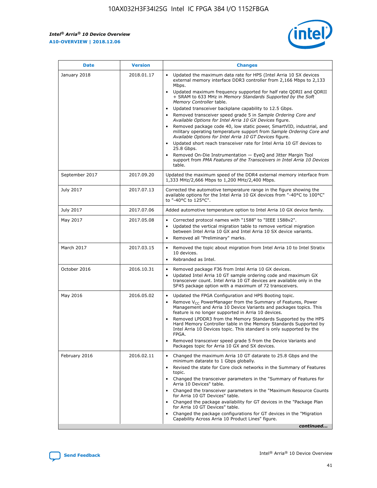*Intel® Arria® 10 Device Overview* **A10-OVERVIEW | 2018.12.06**



| <b>Date</b>    | <b>Version</b> | <b>Changes</b>                                                                                                                                                                                                                                                                                                                                                                                                                                                                                                                                                                                                                                                                                                                                                                                                                                                                                                                                                            |
|----------------|----------------|---------------------------------------------------------------------------------------------------------------------------------------------------------------------------------------------------------------------------------------------------------------------------------------------------------------------------------------------------------------------------------------------------------------------------------------------------------------------------------------------------------------------------------------------------------------------------------------------------------------------------------------------------------------------------------------------------------------------------------------------------------------------------------------------------------------------------------------------------------------------------------------------------------------------------------------------------------------------------|
| January 2018   | 2018.01.17     | Updated the maximum data rate for HPS (Intel Arria 10 SX devices<br>external memory interface DDR3 controller from 2,166 Mbps to 2,133<br>Mbps.<br>Updated maximum frequency supported for half rate QDRII and QDRII<br>+ SRAM to 633 MHz in Memory Standards Supported by the Soft<br>Memory Controller table.<br>Updated transceiver backplane capability to 12.5 Gbps.<br>$\bullet$<br>Removed transceiver speed grade 5 in Sample Ordering Core and<br>Available Options for Intel Arria 10 GX Devices figure.<br>Removed package code 40, low static power, SmartVID, industrial, and<br>military operating temperature support from Sample Ordering Core and<br>Available Options for Intel Arria 10 GT Devices figure.<br>Updated short reach transceiver rate for Intel Arria 10 GT devices to<br>25.8 Gbps.<br>Removed On-Die Instrumentation - EyeQ and Jitter Margin Tool<br>support from PMA Features of the Transceivers in Intel Arria 10 Devices<br>table. |
| September 2017 | 2017.09.20     | Updated the maximum speed of the DDR4 external memory interface from<br>1,333 MHz/2,666 Mbps to 1,200 MHz/2,400 Mbps.                                                                                                                                                                                                                                                                                                                                                                                                                                                                                                                                                                                                                                                                                                                                                                                                                                                     |
| July 2017      | 2017.07.13     | Corrected the automotive temperature range in the figure showing the<br>available options for the Intel Arria 10 GX devices from "-40°C to 100°C"<br>to "-40°C to 125°C".                                                                                                                                                                                                                                                                                                                                                                                                                                                                                                                                                                                                                                                                                                                                                                                                 |
| July 2017      | 2017.07.06     | Added automotive temperature option to Intel Arria 10 GX device family.                                                                                                                                                                                                                                                                                                                                                                                                                                                                                                                                                                                                                                                                                                                                                                                                                                                                                                   |
| May 2017       | 2017.05.08     | Corrected protocol names with "1588" to "IEEE 1588v2".<br>$\bullet$<br>Updated the vertical migration table to remove vertical migration<br>$\bullet$<br>between Intel Arria 10 GX and Intel Arria 10 SX device variants.<br>Removed all "Preliminary" marks.<br>$\bullet$                                                                                                                                                                                                                                                                                                                                                                                                                                                                                                                                                                                                                                                                                                |
| March 2017     | 2017.03.15     | Removed the topic about migration from Intel Arria 10 to Intel Stratix<br>10 devices.<br>Rebranded as Intel.<br>$\bullet$                                                                                                                                                                                                                                                                                                                                                                                                                                                                                                                                                                                                                                                                                                                                                                                                                                                 |
| October 2016   | 2016.10.31     | Removed package F36 from Intel Arria 10 GX devices.<br>Updated Intel Arria 10 GT sample ordering code and maximum GX<br>$\bullet$<br>transceiver count. Intel Arria 10 GT devices are available only in the<br>SF45 package option with a maximum of 72 transceivers.                                                                                                                                                                                                                                                                                                                                                                                                                                                                                                                                                                                                                                                                                                     |
| May 2016       | 2016.05.02     | Updated the FPGA Configuration and HPS Booting topic.<br>$\bullet$<br>Remove V <sub>CC</sub> PowerManager from the Summary of Features, Power<br>Management and Arria 10 Device Variants and packages topics. This<br>feature is no longer supported in Arria 10 devices.<br>Removed LPDDR3 from the Memory Standards Supported by the HPS<br>Hard Memory Controller table in the Memory Standards Supported by<br>Intel Arria 10 Devices topic. This standard is only supported by the<br>FPGA.<br>Removed transceiver speed grade 5 from the Device Variants and<br>Packages topic for Arria 10 GX and SX devices.                                                                                                                                                                                                                                                                                                                                                      |
| February 2016  | 2016.02.11     | Changed the maximum Arria 10 GT datarate to 25.8 Gbps and the<br>minimum datarate to 1 Gbps globally.<br>Revised the state for Core clock networks in the Summary of Features<br>$\bullet$<br>topic.<br>Changed the transceiver parameters in the "Summary of Features for<br>$\bullet$<br>Arria 10 Devices" table.<br>• Changed the transceiver parameters in the "Maximum Resource Counts<br>for Arria 10 GT Devices" table.<br>Changed the package availability for GT devices in the "Package Plan<br>for Arria 10 GT Devices" table.<br>Changed the package configurations for GT devices in the "Migration"<br>Capability Across Arria 10 Product Lines" figure.<br>continued                                                                                                                                                                                                                                                                                       |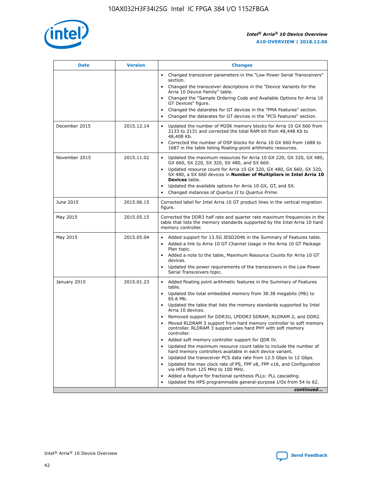

| <b>Date</b>   | <b>Version</b> | <b>Changes</b>                                                                                                                                                               |
|---------------|----------------|------------------------------------------------------------------------------------------------------------------------------------------------------------------------------|
|               |                | • Changed transceiver parameters in the "Low Power Serial Transceivers"<br>section.                                                                                          |
|               |                | • Changed the transceiver descriptions in the "Device Variants for the<br>Arria 10 Device Family" table.                                                                     |
|               |                | Changed the "Sample Ordering Code and Available Options for Arria 10<br>$\bullet$<br>GT Devices" figure.                                                                     |
|               |                | Changed the datarates for GT devices in the "PMA Features" section.                                                                                                          |
|               |                | Changed the datarates for GT devices in the "PCS Features" section.<br>$\bullet$                                                                                             |
| December 2015 | 2015.12.14     | Updated the number of M20K memory blocks for Arria 10 GX 660 from<br>2133 to 2131 and corrected the total RAM bit from 48,448 Kb to<br>48,408 Kb.                            |
|               |                | Corrected the number of DSP blocks for Arria 10 GX 660 from 1688 to<br>1687 in the table listing floating-point arithmetic resources.                                        |
| November 2015 | 2015.11.02     | Updated the maximum resources for Arria 10 GX 220, GX 320, GX 480,<br>$\bullet$<br>GX 660, SX 220, SX 320, SX 480, and SX 660.                                               |
|               |                | • Updated resource count for Arria 10 GX 320, GX 480, GX 660, SX 320,<br>SX 480, a SX 660 devices in Number of Multipliers in Intel Arria 10<br><b>Devices</b> table.        |
|               |                | Updated the available options for Arria 10 GX, GT, and SX.                                                                                                                   |
|               |                | Changed instances of Quartus II to Quartus Prime.<br>$\bullet$                                                                                                               |
| June 2015     | 2015.06.15     | Corrected label for Intel Arria 10 GT product lines in the vertical migration<br>figure.                                                                                     |
| May 2015      | 2015.05.15     | Corrected the DDR3 half rate and quarter rate maximum frequencies in the<br>table that lists the memory standards supported by the Intel Arria 10 hard<br>memory controller. |
| May 2015      | 2015.05.04     | • Added support for 13.5G JESD204b in the Summary of Features table.                                                                                                         |
|               |                | • Added a link to Arria 10 GT Channel Usage in the Arria 10 GT Package<br>Plan topic.                                                                                        |
|               |                | • Added a note to the table, Maximum Resource Counts for Arria 10 GT<br>devices.                                                                                             |
|               |                | • Updated the power requirements of the transceivers in the Low Power<br>Serial Transceivers topic.                                                                          |
| January 2015  | 2015.01.23     | • Added floating point arithmetic features in the Summary of Features<br>table.                                                                                              |
|               |                | • Updated the total embedded memory from 38.38 megabits (Mb) to<br>65.6 Mb.                                                                                                  |
|               |                | • Updated the table that lists the memory standards supported by Intel<br>Arria 10 devices.                                                                                  |
|               |                | Removed support for DDR3U, LPDDR3 SDRAM, RLDRAM 2, and DDR2.                                                                                                                 |
|               |                | Moved RLDRAM 3 support from hard memory controller to soft memory<br>controller. RLDRAM 3 support uses hard PHY with soft memory<br>controller.                              |
|               |                | Added soft memory controller support for QDR IV.<br>٠                                                                                                                        |
|               |                | Updated the maximum resource count table to include the number of<br>hard memory controllers available in each device variant.                                               |
|               |                | Updated the transceiver PCS data rate from 12.5 Gbps to 12 Gbps.<br>$\bullet$                                                                                                |
|               |                | Updated the max clock rate of PS, FPP x8, FPP x16, and Configuration<br>via HPS from 125 MHz to 100 MHz.                                                                     |
|               |                | Added a feature for fractional synthesis PLLs: PLL cascading.                                                                                                                |
|               |                | Updated the HPS programmable general-purpose I/Os from 54 to 62.<br>$\bullet$                                                                                                |
|               |                | continued                                                                                                                                                                    |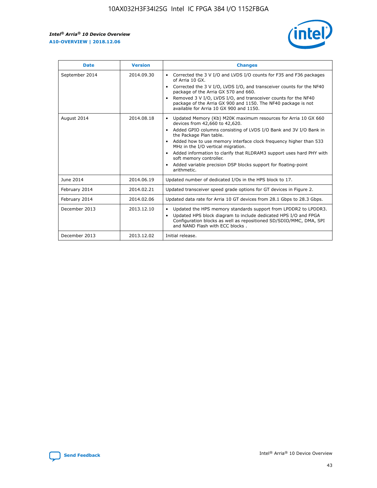r



| <b>Date</b>    | <b>Version</b> | <b>Changes</b>                                                                                                                                                                                                                                                                                                                                                                                                                                                                                                                         |
|----------------|----------------|----------------------------------------------------------------------------------------------------------------------------------------------------------------------------------------------------------------------------------------------------------------------------------------------------------------------------------------------------------------------------------------------------------------------------------------------------------------------------------------------------------------------------------------|
| September 2014 | 2014.09.30     | Corrected the 3 V I/O and LVDS I/O counts for F35 and F36 packages<br>of Arria 10 GX.<br>Corrected the 3 V I/O, LVDS I/O, and transceiver counts for the NF40<br>$\bullet$<br>package of the Arria GX 570 and 660.<br>Removed 3 V I/O, LVDS I/O, and transceiver counts for the NF40<br>package of the Arria GX 900 and 1150. The NF40 package is not<br>available for Arria 10 GX 900 and 1150.                                                                                                                                       |
| August 2014    | 2014.08.18     | Updated Memory (Kb) M20K maximum resources for Arria 10 GX 660<br>devices from 42,660 to 42,620.<br>Added GPIO columns consisting of LVDS I/O Bank and 3V I/O Bank in<br>$\bullet$<br>the Package Plan table.<br>Added how to use memory interface clock frequency higher than 533<br>$\bullet$<br>MHz in the I/O vertical migration.<br>Added information to clarify that RLDRAM3 support uses hard PHY with<br>$\bullet$<br>soft memory controller.<br>Added variable precision DSP blocks support for floating-point<br>arithmetic. |
| June 2014      | 2014.06.19     | Updated number of dedicated I/Os in the HPS block to 17.                                                                                                                                                                                                                                                                                                                                                                                                                                                                               |
| February 2014  | 2014.02.21     | Updated transceiver speed grade options for GT devices in Figure 2.                                                                                                                                                                                                                                                                                                                                                                                                                                                                    |
| February 2014  | 2014.02.06     | Updated data rate for Arria 10 GT devices from 28.1 Gbps to 28.3 Gbps.                                                                                                                                                                                                                                                                                                                                                                                                                                                                 |
| December 2013  | 2013.12.10     | Updated the HPS memory standards support from LPDDR2 to LPDDR3.<br>Updated HPS block diagram to include dedicated HPS I/O and FPGA<br>$\bullet$<br>Configuration blocks as well as repositioned SD/SDIO/MMC, DMA, SPI<br>and NAND Flash with ECC blocks.                                                                                                                                                                                                                                                                               |
| December 2013  | 2013.12.02     | Initial release.                                                                                                                                                                                                                                                                                                                                                                                                                                                                                                                       |